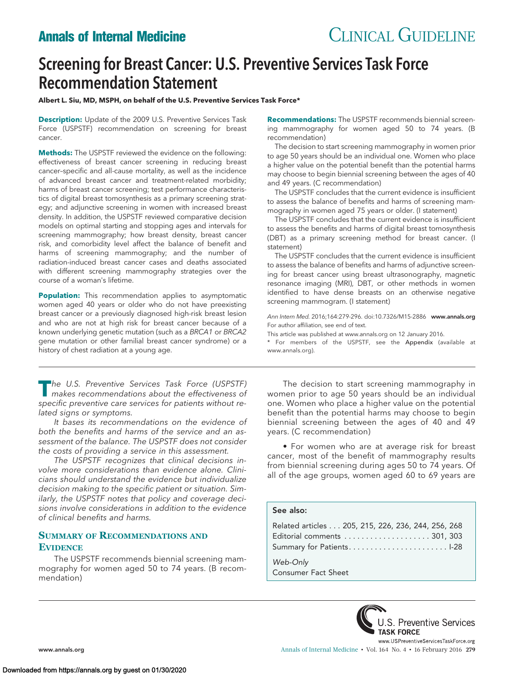# **Annals of Internal Medicine CLINICAL GUIDELINE**

## Screening for Breast Cancer: U.S. Preventive Services Task Force Recommendation Statement

**Albert L. Siu, MD, MSPH, on behalf of the U.S. Preventive Services Task Force\***

**Description:** Update of the 2009 U.S. Preventive Services Task Force (USPSTF) recommendation on screening for breast cancer.

**Methods:** The USPSTF reviewed the evidence on the following: effectiveness of breast cancer screening in reducing breast cancer–specific and all-cause mortality, as well as the incidence of advanced breast cancer and treatment-related morbidity; harms of breast cancer screening; test performance characteristics of digital breast tomosynthesis as a primary screening strategy; and adjunctive screening in women with increased breast density. In addition, the USPSTF reviewed comparative decision models on optimal starting and stopping ages and intervals for screening mammography; how breast density, breast cancer risk, and comorbidity level affect the balance of benefit and harms of screening mammography; and the number of radiation-induced breast cancer cases and deaths associated with different screening mammography strategies over the course of a woman's lifetime.

**Population:** This recommendation applies to asymptomatic women aged 40 years or older who do not have preexisting breast cancer or a previously diagnosed high-risk breast lesion and who are not at high risk for breast cancer because of a known underlying genetic mutation (such as a BRCA1 or BRCA2 gene mutation or other familial breast cancer syndrome) or a history of chest radiation at a young age.

**T**he U.S. Preventive Services Task Force (USPSTF) makes recommendations about the effectiveness of specific preventive care services for patients without related signs or symptoms.

It bases its recommendations on the evidence of both the benefits and harms of the service and an assessment of the balance. The USPSTF does not consider the costs of providing a service in this assessment.

The USPSTF recognizes that clinical decisions involve more considerations than evidence alone. Clinicians should understand the evidence but individualize decision making to the specific patient or situation. Similarly, the USPSTF notes that policy and coverage decisions involve considerations in addition to the evidence of clinical benefits and harms.

### **SUMMARY OF RECOMMENDATIONS AND EVIDENCE**

The USPSTF recommends biennial screening mammography for women aged 50 to 74 years. (B recommendation)

**Recommendations:** The USPSTF recommends biennial screening mammography for women aged 50 to 74 years. (B recommendation)

The decision to start screening mammography in women prior to age 50 years should be an individual one. Women who place a higher value on the potential benefit than the potential harms may choose to begin biennial screening between the ages of 40 and 49 years. (C recommendation)

The USPSTF concludes that the current evidence is insufficient to assess the balance of benefits and harms of screening mammography in women aged 75 years or older. (I statement)

The USPSTF concludes that the current evidence is insufficient to assess the benefits and harms of digital breast tomosynthesis (DBT) as a primary screening method for breast cancer. (I statement)

The USPSTF concludes that the current evidence is insufficient to assess the balance of benefits and harms of adjunctive screening for breast cancer using breast ultrasonography, magnetic resonance imaging (MRI), DBT, or other methods in women identified to have dense breasts on an otherwise negative screening mammogram. (I statement)

Ann Intern Med. 2016;164:279-296. doi:10.7326/M15-2886 www.annals.org For author affiliation, see end of text.

This article was published at www.annals.org on 12 January 2016.

\* For members of the USPSTF, see the Appendix (available at www.annals.org).

The decision to start screening mammography in women prior to age 50 years should be an individual one. Women who place a higher value on the potential benefit than the potential harms may choose to begin biennial screening between the ages of 40 and 49 years. (C recommendation)

• For women who are at average risk for breast cancer, most of the benefit of mammography results from biennial screening during ages 50 to 74 years. Of all of the age groups, women aged 60 to 69 years are

#### See also:

| Related articles 205, 215, 226, 236, 244, 256, 268 |
|----------------------------------------------------|
|                                                    |
|                                                    |
| Web-Only                                           |
| Consumer Fact Sheet                                |

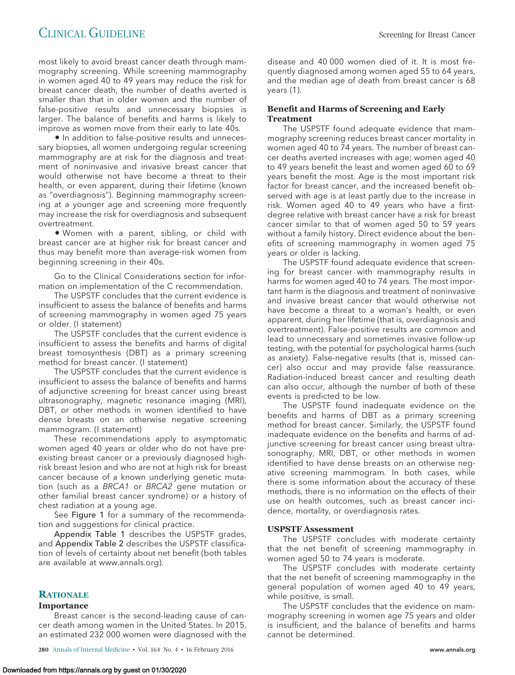most likely to avoid breast cancer death through mammography screening. While screening mammography in women aged 40 to 49 years may reduce the risk for breast cancer death, the number of deaths averted is smaller than that in older women and the number of false-positive results and unnecessary biopsies is larger. The balance of benefits and harms is likely to improve as women move from their early to late 40s.

 $\bullet$  In addition to false-positive results and unnecessary biopsies, all women undergoing regular screening mammography are at risk for the diagnosis and treatment of noninvasive and invasive breast cancer that would otherwise not have become a threat to their health, or even apparent, during their lifetime (known as "overdiagnosis"). Beginning mammography screening at a younger age and screening more frequently may increase the risk for overdiagnosis and subsequent overtreatment.

. Women with a parent, sibling, or child with breast cancer are at higher risk for breast cancer and thus may benefit more than average-risk women from beginning screening in their 40s.

Go to the Clinical Considerations section for information on implementation of the C recommendation.

The USPSTF concludes that the current evidence is insufficient to assess the balance of benefits and harms of screening mammography in women aged 75 years or older. (I statement)

The USPSTF concludes that the current evidence is insufficient to assess the benefits and harms of digital breast tomosynthesis (DBT) as a primary screening method for breast cancer. (I statement)

The USPSTF concludes that the current evidence is insufficient to assess the balance of benefits and harms of adjunctive screening for breast cancer using breast ultrasonography, magnetic resonance imaging (MRI), DBT, or other methods in women identified to have dense breasts on an otherwise negative screening mammogram. (I statement)

These recommendations apply to asymptomatic women aged 40 years or older who do not have preexisting breast cancer or a previously diagnosed highrisk breast lesion and who are not at high risk for breast cancer because of a known underlying genetic mutation (such as a BRCA1 or BRCA2 gene mutation or other familial breast cancer syndrome) or a history of chest radiation at a young age.

See Figure 1 for a summary of the recommendation and suggestions for clinical practice.

Appendix Table 1 describes the USPSTF grades, and Appendix Table 2 describes the USPSTF classification of levels of certainty about net benefit (both tables are available at www.annals.org).

### **RATIONALE**

#### **Importance**

Breast cancer is the second-leading cause of cancer death among women in the United States. In 2015, an estimated 232 000 women were diagnosed with the

**280** Annals of Internal Medicine • Vol. 164 No. 4 • 16 February 2016 www.annals.org

disease and 40 000 women died of it. It is most frequently diagnosed among women aged 55 to 64 years, and the median age of death from breast cancer is 68 years (1).

### **Benefit and Harms of Screening and Early Treatment**

The USPSTF found adequate evidence that mammography screening reduces breast cancer mortality in women aged 40 to 74 years. The number of breast cancer deaths averted increases with age; women aged 40 to 49 years benefit the least and women aged 60 to 69 years benefit the most. Age is the most important risk factor for breast cancer, and the increased benefit observed with age is at least partly due to the increase in risk. Women aged 40 to 49 years who have a firstdegree relative with breast cancer have a risk for breast cancer similar to that of women aged 50 to 59 years without a family history. Direct evidence about the benefits of screening mammography in women aged 75 years or older is lacking.

The USPSTF found adequate evidence that screening for breast cancer with mammography results in harms for women aged 40 to 74 years. The most important harm is the diagnosis and treatment of noninvasive and invasive breast cancer that would otherwise not have become a threat to a woman's health, or even apparent, during her lifetime (that is, overdiagnosis and overtreatment). False-positive results are common and lead to unnecessary and sometimes invasive follow-up testing, with the potential for psychological harms (such as anxiety). False-negative results (that is, missed cancer) also occur and may provide false reassurance. Radiation-induced breast cancer and resulting death can also occur, although the number of both of these events is predicted to be low.

The USPSTF found inadequate evidence on the benefits and harms of DBT as a primary screening method for breast cancer. Similarly, the USPSTF found inadequate evidence on the benefits and harms of adjunctive screening for breast cancer using breast ultrasonography, MRI, DBT, or other methods in women identified to have dense breasts on an otherwise negative screening mammogram. In both cases, while there is some information about the accuracy of these methods, there is no information on the effects of their use on health outcomes, such as breast cancer incidence, mortality, or overdiagnosis rates.

### **USPSTF Assessment**

The USPSTF concludes with moderate certainty that the net benefit of screening mammography in women aged 50 to 74 years is moderate.

The USPSTF concludes with moderate certainty that the net benefit of screening mammography in the general population of women aged 40 to 49 years, while positive, is small.

The USPSTF concludes that the evidence on mammography screening in women age 75 years and older is insufficient, and the balance of benefits and harms cannot be determined.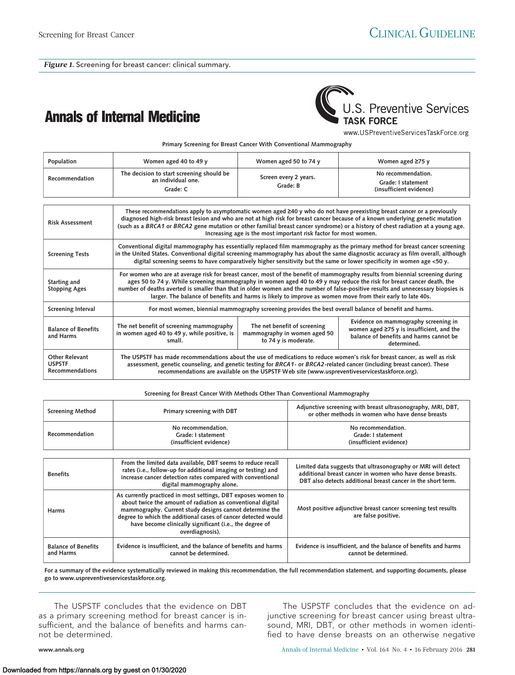*Figure 1.* Screening for breast cancer: clinical summary.

## **Annals of Internal Medicine**



www.USPreventiveServicesTaskForce.org

**Primary Screening for Breast Cancer With Conventional Mammography**

| Population                                                       | Women aged 40 to 49 y                                                                                                                                                                                                                                                                                                                                                                                                                                                                                       | Women aged 50 to 74 y                                                                | Women aged $\geq 75$ y                                                                                                                                                                                                                                                                                                                                                                         |
|------------------------------------------------------------------|-------------------------------------------------------------------------------------------------------------------------------------------------------------------------------------------------------------------------------------------------------------------------------------------------------------------------------------------------------------------------------------------------------------------------------------------------------------------------------------------------------------|--------------------------------------------------------------------------------------|------------------------------------------------------------------------------------------------------------------------------------------------------------------------------------------------------------------------------------------------------------------------------------------------------------------------------------------------------------------------------------------------|
| Recommendation                                                   | The decision to start screening should be<br>an individual one.<br>Grade: C                                                                                                                                                                                                                                                                                                                                                                                                                                 | Screen every 2 years.<br>Grade: B                                                    | No recommendation.<br>Grade: I statement<br>(insufficient evidence)                                                                                                                                                                                                                                                                                                                            |
|                                                                  |                                                                                                                                                                                                                                                                                                                                                                                                                                                                                                             |                                                                                      |                                                                                                                                                                                                                                                                                                                                                                                                |
| <b>Risk Assessment</b>                                           |                                                                                                                                                                                                                                                                                                                                                                                                                                                                                                             | Increasing age is the most important risk factor for most women.                     | These recommendations apply to asymptomatic women aged ≥40 y who do not have preexisting breast cancer or a previously<br>diagnosed high-risk breast lesion and who are not at high risk for breast cancer because of a known underlying genetic mutation<br>(such as a BRCA1 or BRCA2 gene mutation or other familial breast cancer syndrome) or a history of chest radiation at a young age. |
| <b>Screening Tests</b>                                           | Conventional digital mammography has essentially replaced film mammography as the primary method for breast cancer screening<br>in the United States. Conventional digital screening mammography has about the same diagnostic accuracy as film overall, although<br>digital screening seems to have comparatively higher sensitivity but the same or lower specificity in women age <50 y.                                                                                                                 |                                                                                      |                                                                                                                                                                                                                                                                                                                                                                                                |
| Starting and<br><b>Stopping Ages</b>                             | For women who are at average risk for breast cancer, most of the benefit of mammography results from biennial screening during<br>ages 50 to 74 y. While screening mammography in women aged 40 to 49 y may reduce the risk for breast cancer death, the<br>number of deaths averted is smaller than that in older women and the number of false-positive results and unnecessary biopsies is<br>larger. The balance of benefits and harms is likely to improve as women move from their early to late 40s. |                                                                                      |                                                                                                                                                                                                                                                                                                                                                                                                |
| Screening Interval                                               | For most women, biennial mammography screening provides the best overall balance of benefit and harms.                                                                                                                                                                                                                                                                                                                                                                                                      |                                                                                      |                                                                                                                                                                                                                                                                                                                                                                                                |
| <b>Balance of Benefits</b><br>and Harms                          | The net benefit of screening mammography<br>in women aged 40 to 49 y, while positive, is<br>small.                                                                                                                                                                                                                                                                                                                                                                                                          | The net benefit of screening<br>mammography in women aged 50<br>to 74 y is moderate. | Evidence on mammography screening in<br>women aged ≥75 y is insufficient, and the<br>balance of benefits and harms cannot be<br>determined.                                                                                                                                                                                                                                                    |
| <b>Other Relevant</b><br><b>USPSTF</b><br><b>Recommendations</b> | The USPSTF has made recommendations about the use of medications to reduce women's risk for breast cancer, as well as risk<br>assessment, genetic counseling, and genetic testing for BRCA1- or BRCA2-related cancer (including breast cancer). These<br>recommendations are available on the USPSTF Web site (www.uspreventiveservicestaskforce.org).                                                                                                                                                      |                                                                                      |                                                                                                                                                                                                                                                                                                                                                                                                |

**Screening for Breast Cancer With Methods Other Than Conventional Mammography**

| <b>Screening Method</b> | Primary screening with DBT                                          | Adjunctive screening with breast ultrasonography, MRI, DBT,<br>or other methods in women who have dense breasts |
|-------------------------|---------------------------------------------------------------------|-----------------------------------------------------------------------------------------------------------------|
| Recommendation          | No recommendation.<br>Grade: I statement<br>(insufficient evidence) | No recommendation.<br>Grade: I statement<br>(insufficient evidence)                                             |

| <b>Benefits</b>                         | From the limited data available, DBT seems to reduce recall<br>rates (i.e., follow-up for additional imaging or testing) and<br>increase cancer detection rates compared with conventional<br>digital mammography alone.                                                                                                               | Limited data suggests that ultrasonography or MRI will detect<br>additional breast cancer in women who have dense breasts.<br>DBT also detects additional breast cancer in the short term. |
|-----------------------------------------|----------------------------------------------------------------------------------------------------------------------------------------------------------------------------------------------------------------------------------------------------------------------------------------------------------------------------------------|--------------------------------------------------------------------------------------------------------------------------------------------------------------------------------------------|
| <b>Harms</b>                            | As currently practiced in most settings, DBT exposes women to<br>about twice the amount of radiation as conventional digital<br>mammography. Current study designs cannot determine the<br>degree to which the additional cases of cancer detected would<br>have become clinically significant (i.e., the degree of<br>overdiagnosis). | Most positive adjunctive breast cancer screening test results<br>are false positive.                                                                                                       |
| <b>Balance of Benefits</b><br>and Harms | Evidence is insufficient, and the balance of benefits and harms<br>cannot be determined.                                                                                                                                                                                                                                               | Evidence is insufficient, and the balance of benefits and harms<br>cannot be determined.                                                                                                   |

**For a summary of the evidence systematically reviewed in making this recommendation, the full recommendation statement, and supporting documents, please go to www.uspreventiveservicestaskforce.org.**

The USPSTF concludes that the evidence on DBT as a primary screening method for breast cancer is insufficient, and the balance of benefits and harms cannot be determined.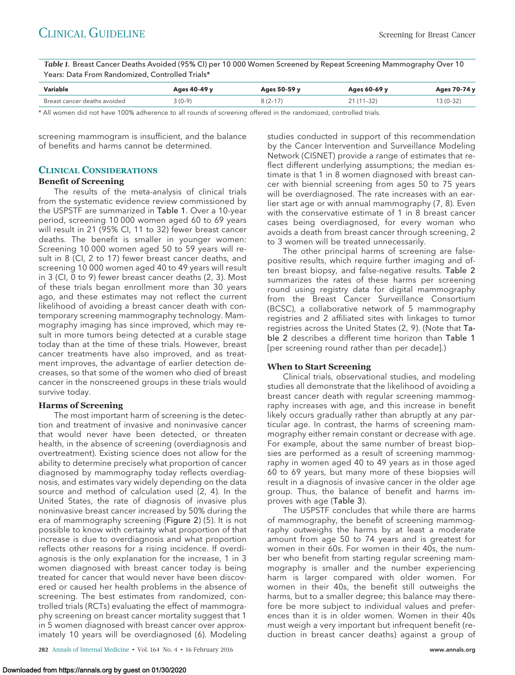*Table 1.* Breast Cancer Deaths Avoided (95% CI) per 10 000 Women Screened by Repeat Screening Mammography Over 10 Years: Data From Randomized, Controlled Trials\*

| Variable                     | Ages 40-49 y                         | Ages 50-59 y | Ages 60-69 y | Ages 70-74 y |
|------------------------------|--------------------------------------|--------------|--------------|--------------|
| Breast cancer deaths avoided | $3(0-9)$                             | $8(2-17)$    | 21 (11–32)   | 13 (0–32)    |
|                              | the state of the control of the con- |              |              |              |

\* All women did not have 100% adherence to all rounds of screening offered in the randomized, controlled trials.

screening mammogram is insufficient, and the balance of benefits and harms cannot be determined.

### **CLINICAL CONSIDERATIONS**

### **Benefit of Screening**

The results of the meta-analysis of clinical trials from the systematic evidence review commissioned by the USPSTF are summarized in Table 1. Over a 10-year period, screening 10 000 women aged 60 to 69 years will result in 21 (95% CI, 11 to 32) fewer breast cancer deaths. The benefit is smaller in younger women: Screening 10 000 women aged 50 to 59 years will result in 8 (CI, 2 to 17) fewer breast cancer deaths, and screening 10 000 women aged 40 to 49 years will result in 3 (CI, 0 to 9) fewer breast cancer deaths (2, 3). Most of these trials began enrollment more than 30 years ago, and these estimates may not reflect the current likelihood of avoiding a breast cancer death with contemporary screening mammography technology. Mammography imaging has since improved, which may result in more tumors being detected at a curable stage today than at the time of these trials. However, breast cancer treatments have also improved, and as treatment improves, the advantage of earlier detection decreases, so that some of the women who died of breast cancer in the nonscreened groups in these trials would survive today.

### **Harms of Screening**

The most important harm of screening is the detection and treatment of invasive and noninvasive cancer that would never have been detected, or threaten health, in the absence of screening (overdiagnosis and overtreatment). Existing science does not allow for the ability to determine precisely what proportion of cancer diagnosed by mammography today reflects overdiagnosis, and estimates vary widely depending on the data source and method of calculation used (2, 4). In the United States, the rate of diagnosis of invasive plus noninvasive breast cancer increased by 50% during the era of mammography screening (Figure 2) (5). It is not possible to know with certainty what proportion of that increase is due to overdiagnosis and what proportion reflects other reasons for a rising incidence. If overdiagnosis is the only explanation for the increase, 1 in 3 women diagnosed with breast cancer today is being treated for cancer that would never have been discovered or caused her health problems in the absence of screening. The best estimates from randomized, controlled trials (RCTs) evaluating the effect of mammography screening on breast cancer mortality suggest that 1 in 5 women diagnosed with breast cancer over approximately 10 years will be overdiagnosed (6). Modeling

**282** Annals of Internal Medicine • Vol. 164 No. 4 • 16 February 2016 www.annals.org

studies conducted in support of this recommendation by the Cancer Intervention and Surveillance Modeling Network (CISNET) provide a range of estimates that reflect different underlying assumptions; the median estimate is that 1 in 8 women diagnosed with breast cancer with biennial screening from ages 50 to 75 years will be overdiagnosed. The rate increases with an earlier start age or with annual mammography (7, 8). Even with the conservative estimate of 1 in 8 breast cancer cases being overdiagnosed, for every woman who avoids a death from breast cancer through screening, 2 to 3 women will be treated unnecessarily.

The other principal harms of screening are falsepositive results, which require further imaging and often breast biopsy, and false-negative results. Table 2 summarizes the rates of these harms per screening round using registry data for digital mammography from the Breast Cancer Surveillance Consortium (BCSC), a collaborative network of 5 mammography registries and 2 affiliated sites with linkages to tumor registries across the United States (2, 9). (Note that Table 2 describes a different time horizon than Table 1 [per screening round rather than per decade].)

### **When to Start Screening**

Clinical trials, observational studies, and modeling studies all demonstrate that the likelihood of avoiding a breast cancer death with regular screening mammography increases with age, and this increase in benefit likely occurs gradually rather than abruptly at any particular age. In contrast, the harms of screening mammography either remain constant or decrease with age. For example, about the same number of breast biopsies are performed as a result of screening mammography in women aged 40 to 49 years as in those aged 60 to 69 years, but many more of these biopsies will result in a diagnosis of invasive cancer in the older age group. Thus, the balance of benefit and harms improves with age (Table 3).

The USPSTF concludes that while there are harms of mammography, the benefit of screening mammography outweighs the harms by at least a moderate amount from age 50 to 74 years and is greatest for women in their 60s. For women in their 40s, the number who benefit from starting regular screening mammography is smaller and the number experiencing harm is larger compared with older women. For women in their 40s, the benefit still outweighs the harms, but to a smaller degree; this balance may therefore be more subject to individual values and preferences than it is in older women. Women in their 40s must weigh a very important but infrequent benefit (reduction in breast cancer deaths) against a group of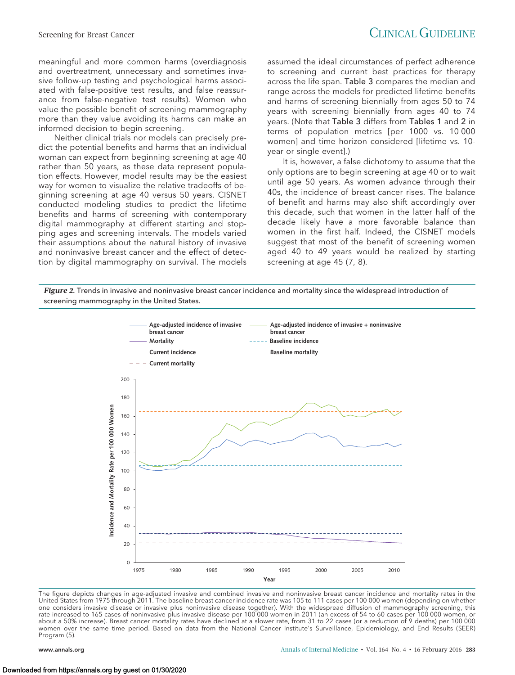### Screening for Breast Cancer CLINICAL GUIDELINE

meaningful and more common harms (overdiagnosis and overtreatment, unnecessary and sometimes invasive follow-up testing and psychological harms associated with false-positive test results, and false reassurance from false-negative test results). Women who value the possible benefit of screening mammography more than they value avoiding its harms can make an informed decision to begin screening.

Neither clinical trials nor models can precisely predict the potential benefits and harms that an individual woman can expect from beginning screening at age 40 rather than 50 years, as these data represent population effects. However, model results may be the easiest way for women to visualize the relative tradeoffs of beginning screening at age 40 versus 50 years. CISNET conducted modeling studies to predict the lifetime benefits and harms of screening with contemporary digital mammography at different starting and stopping ages and screening intervals. The models varied their assumptions about the natural history of invasive and noninvasive breast cancer and the effect of detection by digital mammography on survival. The models

assumed the ideal circumstances of perfect adherence to screening and current best practices for therapy across the life span. Table 3 compares the median and range across the models for predicted lifetime benefits and harms of screening biennially from ages 50 to 74 years with screening biennially from ages 40 to 74 years. (Note that Table 3 differs from Tables 1 and 2 in terms of population metrics [per 1000 vs. 10 000 women] and time horizon considered [lifetime vs. 10 year or single event].)

It is, however, a false dichotomy to assume that the only options are to begin screening at age 40 or to wait until age 50 years. As women advance through their 40s, the incidence of breast cancer rises. The balance of benefit and harms may also shift accordingly over this decade, such that women in the latter half of the decade likely have a more favorable balance than women in the first half. Indeed, the CISNET models suggest that most of the benefit of screening women aged 40 to 49 years would be realized by starting screening at age 45 (7, 8).

*Figure 2.* Trends in invasive and noninvasive breast cancer incidence and mortality since the widespread introduction of screening mammography in the United States.



The figure depicts changes in age-adjusted invasive and combined invasive and noninvasive breast cancer incidence and mortality rates in the United States from 1975 through 2011. The baseline breast cancer incidence rate was 105 to 111 cases per 100 000 women (depending on whether one considers invasive disease or invasive plus noninvasive disease together). With the widespread diffusion of mammography screening, this rate increased to 165 cases of noninvasive plus invasive disease per 100 000 women in 2011 (an excess of 54 to 60 cases per 100 000 women, or about a 50% increase). Breast cancer mortality rates have declined at a slower rate, from 31 to 22 cases (or a reduction of 9 deaths) per 100 000 women over the same time period. Based on data from the National Cancer Institute's Surveillance, Epidemiology, and End Results (SEER) Program (5).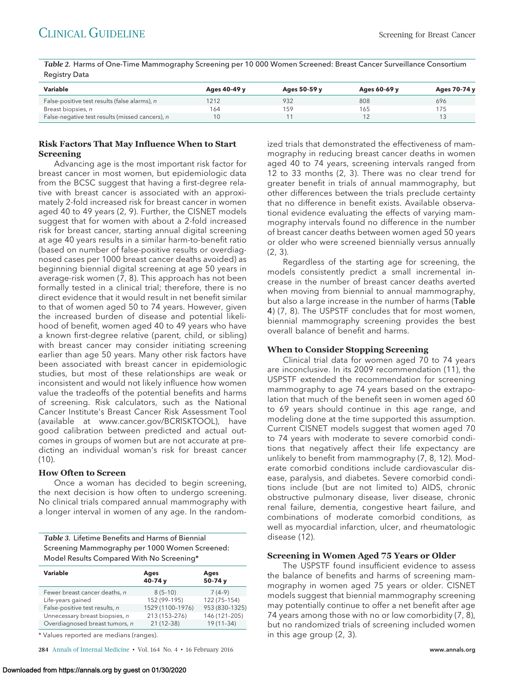*Table 2.* Harms of One-Time Mammography Screening per 10 000 Women Screened: Breast Cancer Surveillance Consortium Registry Data

| Variable                                        | Ages 40-49 y | Ages 50-59 y | Ages 60-69 y | Ages 70-74 y |
|-------------------------------------------------|--------------|--------------|--------------|--------------|
| False-positive test results (false alarms), n   | 1212         | 932          | 808          | 696          |
| Breast biopsies, n                              | 164          | 159          | 165          | 175          |
| False-negative test results (missed cancers), n | 10           |              |              |              |

### **Risk Factors That May Influence When to Start Screening**

Advancing age is the most important risk factor for breast cancer in most women, but epidemiologic data from the BCSC suggest that having a first-degree relative with breast cancer is associated with an approximately 2-fold increased risk for breast cancer in women aged 40 to 49 years (2, 9). Further, the CISNET models suggest that for women with about a 2-fold increased risk for breast cancer, starting annual digital screening at age 40 years results in a similar harm-to-benefit ratio (based on number of false-positive results or overdiagnosed cases per 1000 breast cancer deaths avoided) as beginning biennial digital screening at age 50 years in average-risk women (7, 8). This approach has not been formally tested in a clinical trial; therefore, there is no direct evidence that it would result in net benefit similar to that of women aged 50 to 74 years. However, given the increased burden of disease and potential likelihood of benefit, women aged 40 to 49 years who have a known first-degree relative (parent, child, or sibling) with breast cancer may consider initiating screening earlier than age 50 years. Many other risk factors have been associated with breast cancer in epidemiologic studies, but most of these relationships are weak or inconsistent and would not likely influence how women value the tradeoffs of the potential benefits and harms of screening. Risk calculators, such as the National Cancer Institute's Breast Cancer Risk Assessment Tool (available at www.cancer.gov/BCRISKTOOL), have good calibration between predicted and actual outcomes in groups of women but are not accurate at predicting an individual woman's risk for breast cancer (10).

### **How Often to Screen**

Once a woman has decided to begin screening, the next decision is how often to undergo screening. No clinical trials compared annual mammography with a longer interval in women of any age. In the random-

*Table 3.* Lifetime Benefits and Harms of Biennial Screening Mammography per 1000 Women Screened: Model Results Compared With No Screening\*

| <b>Variable</b>                | Ages<br>$40-74y$ | Ages<br>$50-74y$ |
|--------------------------------|------------------|------------------|
| Fewer breast cancer deaths, n  | $8(5-10)$        | $7(4-9)$         |
| Life-years gained              | 152 (99-195)     | 122 (75-154)     |
| False-positive test results, n | 1529 (1100-1976) | 953 (830-1325)   |
| Unnecessary breast biopsies, n | 213 (153-276)    | 146 (121-205)    |
| Overdiagnosed breast tumors, n | $21(12-38)$      | $19(11-34)$      |

\* Values reported are medians (ranges).

**284** Annals of Internal Medicine • Vol. 164 No. 4 • 16 February 2016 www.annals.org

ized trials that demonstrated the effectiveness of mammography in reducing breast cancer deaths in women aged 40 to 74 years, screening intervals ranged from 12 to 33 months (2, 3). There was no clear trend for greater benefit in trials of annual mammography, but other differences between the trials preclude certainty that no difference in benefit exists. Available observational evidence evaluating the effects of varying mammography intervals found no difference in the number of breast cancer deaths between women aged 50 years or older who were screened biennially versus annually (2, 3).

Regardless of the starting age for screening, the models consistently predict a small incremental increase in the number of breast cancer deaths averted when moving from biennial to annual mammography, but also a large increase in the number of harms (Table 4) (7, 8). The USPSTF concludes that for most women, biennial mammography screening provides the best overall balance of benefit and harms.

### **When to Consider Stopping Screening**

Clinical trial data for women aged 70 to 74 years are inconclusive. In its 2009 recommendation (11), the USPSTF extended the recommendation for screening mammography to age 74 years based on the extrapolation that much of the benefit seen in women aged 60 to 69 years should continue in this age range, and modeling done at the time supported this assumption. Current CISNET models suggest that women aged 70 to 74 years with moderate to severe comorbid conditions that negatively affect their life expectancy are unlikely to benefit from mammography (7, 8, 12). Moderate comorbid conditions include cardiovascular disease, paralysis, and diabetes. Severe comorbid conditions include (but are not limited to) AIDS, chronic obstructive pulmonary disease, liver disease, chronic renal failure, dementia, congestive heart failure, and combinations of moderate comorbid conditions, as well as myocardial infarction, ulcer, and rheumatologic disease (12).

### **Screening in Women Aged 75 Years or Older**

The USPSTF found insufficient evidence to assess the balance of benefits and harms of screening mammography in women aged 75 years or older. CISNET models suggest that biennial mammography screening may potentially continue to offer a net benefit after age 74 years among those with no or low comorbidity (7, 8), but no randomized trials of screening included women in this age group (2, 3).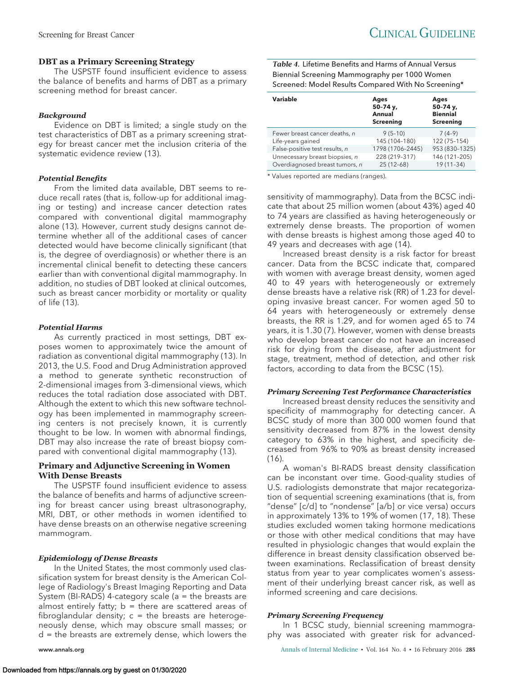### **DBT as a Primary Screening Strategy**

The USPSTF found insufficient evidence to assess the balance of benefits and harms of DBT as a primary screening method for breast cancer.

### *Background*

Evidence on DBT is limited; a single study on the test characteristics of DBT as a primary screening strategy for breast cancer met the inclusion criteria of the systematic evidence review (13).

### *Potential Benefits*

From the limited data available, DBT seems to reduce recall rates (that is, follow-up for additional imaging or testing) and increase cancer detection rates compared with conventional digital mammography alone (13). However, current study designs cannot determine whether all of the additional cases of cancer detected would have become clinically significant (that is, the degree of overdiagnosis) or whether there is an incremental clinical benefit to detecting these cancers earlier than with conventional digital mammography. In addition, no studies of DBT looked at clinical outcomes, such as breast cancer morbidity or mortality or quality of life (13).

### *Potential Harms*

As currently practiced in most settings, DBT exposes women to approximately twice the amount of radiation as conventional digital mammography (13). In 2013, the U.S. Food and Drug Administration approved a method to generate synthetic reconstruction of 2-dimensional images from 3-dimensional views, which reduces the total radiation dose associated with DBT. Although the extent to which this new software technology has been implemented in mammography screening centers is not precisely known, it is currently thought to be low. In women with abnormal findings, DBT may also increase the rate of breast biopsy compared with conventional digital mammography (13).

### **Primary and Adjunctive Screening in Women With Dense Breasts**

The USPSTF found insufficient evidence to assess the balance of benefits and harms of adjunctive screening for breast cancer using breast ultrasonography, MRI, DBT, or other methods in women identified to have dense breasts on an otherwise negative screening mammogram.

### *Epidemiology of Dense Breasts*

In the United States, the most commonly used classification system for breast density is the American College of Radiology's Breast Imaging Reporting and Data System (BI-RADS) 4-category scale ( $a =$  the breasts are almost entirely fatty;  $b =$  there are scattered areas of fibroglandular density;  $c =$  the breasts are heterogeneously dense, which may obscure small masses; or  $d =$  the breasts are extremely dense, which lowers the

*Table 4.* Lifetime Benefits and Harms of Annual Versus Biennial Screening Mammography per 1000 Women Screened: Model Results Compared With No Screening\*

| <b>Variable</b>                | Ages<br>50-74 y,<br>Annual<br><b>Screening</b> | Ages<br>$50-74y$<br><b>Biennial</b><br><b>Screening</b> |
|--------------------------------|------------------------------------------------|---------------------------------------------------------|
| Fewer breast cancer deaths, n  | $9(5-10)$                                      | $7(4-9)$                                                |
| Life-years gained              | 145 (104-180)                                  | 122 (75-154)                                            |
| False-positive test results, n | 1798 (1706-2445)                               | 953 (830-1325)                                          |
| Unnecessary breast biopsies, n | 228 (219-317)                                  | 146 (121-205)                                           |
| Overdiagnosed breast tumors, n | $25(12-68)$                                    | $19(11-34)$                                             |

\* Values reported are medians (ranges).

sensitivity of mammography). Data from the BCSC indicate that about 25 million women (about 43%) aged 40 to 74 years are classified as having heterogeneously or extremely dense breasts. The proportion of women with dense breasts is highest among those aged 40 to 49 years and decreases with age (14).

Increased breast density is a risk factor for breast cancer. Data from the BCSC indicate that, compared with women with average breast density, women aged 40 to 49 years with heterogeneously or extremely dense breasts have a relative risk (RR) of 1.23 for developing invasive breast cancer. For women aged 50 to 64 years with heterogeneously or extremely dense breasts, the RR is 1.29, and for women aged 65 to 74 years, it is 1.30 (7). However, women with dense breasts who develop breast cancer do not have an increased risk for dying from the disease, after adjustment for stage, treatment, method of detection, and other risk factors, according to data from the BCSC (15).

### *Primary Screening Test Performance Characteristics*

Increased breast density reduces the sensitivity and specificity of mammography for detecting cancer. A BCSC study of more than 300 000 women found that sensitivity decreased from 87% in the lowest density category to 63% in the highest, and specificity decreased from 96% to 90% as breast density increased (16).

A woman's BI-RADS breast density classification can be inconstant over time. Good-quality studies of U.S. radiologists demonstrate that major recategorization of sequential screening examinations (that is, from "dense" [c/d] to "nondense" [a/b] or vice versa) occurs in approximately 13% to 19% of women (17, 18). These studies excluded women taking hormone medications or those with other medical conditions that may have resulted in physiologic changes that would explain the difference in breast density classification observed between examinations. Reclassification of breast density status from year to year complicates women's assessment of their underlying breast cancer risk, as well as informed screening and care decisions.

### *Primary Screening Frequency*

In 1 BCSC study, biennial screening mammography was associated with greater risk for advanced-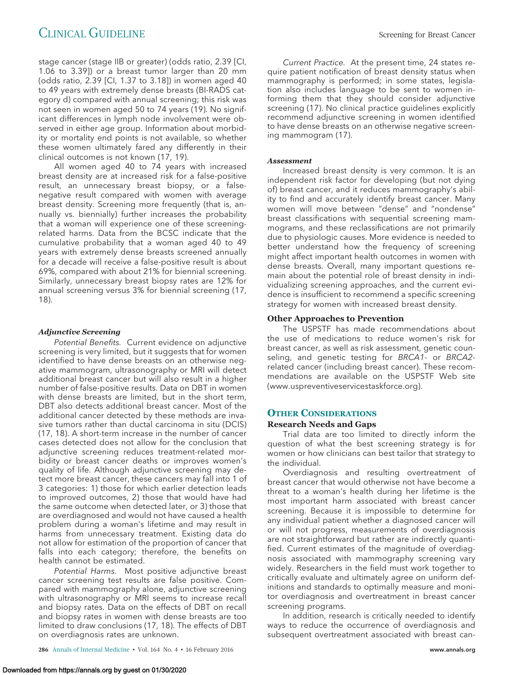stage cancer (stage IIB or greater) (odds ratio, 2.39 [CI, 1.06 to 3.39]) or a breast tumor larger than 20 mm (odds ratio, 2.39 [CI, 1.37 to 3.18]) in women aged 40 to 49 years with extremely dense breasts (BI-RADS category d) compared with annual screening; this risk was not seen in women aged 50 to 74 years (19). No significant differences in lymph node involvement were observed in either age group. Information about morbidity or mortality end points is not available, so whether these women ultimately fared any differently in their clinical outcomes is not known (17, 19).

All women aged 40 to 74 years with increased breast density are at increased risk for a false-positive result, an unnecessary breast biopsy, or a falsenegative result compared with women with average breast density. Screening more frequently (that is, annually vs. biennially) further increases the probability that a woman will experience one of these screeningrelated harms. Data from the BCSC indicate that the cumulative probability that a woman aged 40 to 49 years with extremely dense breasts screened annually for a decade will receive a false-positive result is about 69%, compared with about 21% for biennial screening. Similarly, unnecessary breast biopsy rates are 12% for annual screening versus 3% for biennial screening (17, 18).

### *Adjunctive Screening*

Potential Benefits. Current evidence on adjunctive screening is very limited, but it suggests that for women identified to have dense breasts on an otherwise negative mammogram, ultrasonography or MRI will detect additional breast cancer but will also result in a higher number of false-positive results. Data on DBT in women with dense breasts are limited, but in the short term, DBT also detects additional breast cancer. Most of the additional cancer detected by these methods are invasive tumors rather than ductal carcinoma in situ (DCIS) (17, 18). A short-term increase in the number of cancer cases detected does not allow for the conclusion that adjunctive screening reduces treatment-related morbidity or breast cancer deaths or improves women's quality of life. Although adjunctive screening may detect more breast cancer, these cancers may fall into 1 of 3 categories: 1) those for which earlier detection leads to improved outcomes, 2) those that would have had the same outcome when detected later, or 3) those that are overdiagnosed and would not have caused a health problem during a woman's lifetime and may result in harms from unnecessary treatment. Existing data do not allow for estimation of the proportion of cancer that falls into each category; therefore, the benefits on health cannot be estimated.

Potential Harms. Most positive adjunctive breast cancer screening test results are false positive. Compared with mammography alone, adjunctive screening with ultrasonography or MRI seems to increase recall and biopsy rates. Data on the effects of DBT on recall and biopsy rates in women with dense breasts are too limited to draw conclusions (17, 18). The effects of DBT on overdiagnosis rates are unknown.

**286** Annals of Internal Medicine • Vol. 164 No. 4 • 16 February 2016 www.annals.org

Current Practice. At the present time, 24 states require patient notification of breast density status when mammography is performed; in some states, legislation also includes language to be sent to women informing them that they should consider adjunctive screening (17). No clinical practice guidelines explicitly recommend adjunctive screening in women identified to have dense breasts on an otherwise negative screening mammogram (17).

### *Assessment*

Increased breast density is very common. It is an independent risk factor for developing (but not dying of) breast cancer, and it reduces mammography's ability to find and accurately identify breast cancer. Many women will move between "dense" and "nondense" breast classifications with sequential screening mammograms, and these reclassifications are not primarily due to physiologic causes. More evidence is needed to better understand how the frequency of screening might affect important health outcomes in women with dense breasts. Overall, many important questions remain about the potential role of breast density in individualizing screening approaches, and the current evidence is insufficient to recommend a specific screening strategy for women with increased breast density.

### **Other Approaches to Prevention**

The USPSTF has made recommendations about the use of medications to reduce women's risk for breast cancer, as well as risk assessment, genetic counseling, and genetic testing for BRCA1- or BRCA2related cancer (including breast cancer). These recommendations are available on the USPSTF Web site (www.uspreventiveservicestaskforce.org).

### **OTHER CONSIDERATIONS**

### **Research Needs and Gaps**

Trial data are too limited to directly inform the question of what the best screening strategy is for women or how clinicians can best tailor that strategy to the individual.

Overdiagnosis and resulting overtreatment of breast cancer that would otherwise not have become a threat to a woman's health during her lifetime is the most important harm associated with breast cancer screening. Because it is impossible to determine for any individual patient whether a diagnosed cancer will or will not progress, measurements of overdiagnosis are not straightforward but rather are indirectly quantified. Current estimates of the magnitude of overdiagnosis associated with mammography screening vary widely. Researchers in the field must work together to critically evaluate and ultimately agree on uniform definitions and standards to optimally measure and monitor overdiagnosis and overtreatment in breast cancer screening programs.

In addition, research is critically needed to identify ways to reduce the occurrence of overdiagnosis and subsequent overtreatment associated with breast can-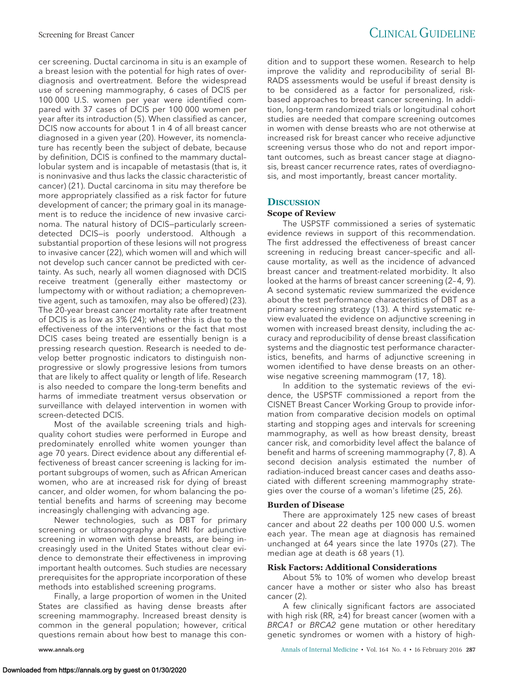cer screening. Ductal carcinoma in situ is an example of a breast lesion with the potential for high rates of overdiagnosis and overtreatment. Before the widespread use of screening mammography, 6 cases of DCIS per 100 000 U.S. women per year were identified compared with 37 cases of DCIS per 100 000 women per year after its introduction (5). When classified as cancer, DCIS now accounts for about 1 in 4 of all breast cancer diagnosed in a given year (20). However, its nomenclature has recently been the subject of debate, because by definition, DCIS is confined to the mammary ductal– lobular system and is incapable of metastasis (that is, it is noninvasive and thus lacks the classic characteristic of cancer) (21). Ductal carcinoma in situ may therefore be more appropriately classified as a risk factor for future development of cancer; the primary goal in its management is to reduce the incidence of new invasive carcinoma. The natural history of DCIS—particularly screendetected DCIS—is poorly understood. Although a substantial proportion of these lesions will not progress to invasive cancer (22), which women will and which will not develop such cancer cannot be predicted with certainty. As such, nearly all women diagnosed with DCIS receive treatment (generally either mastectomy or lumpectomy with or without radiation; a chemopreventive agent, such as tamoxifen, may also be offered) (23). The 20-year breast cancer mortality rate after treatment of DCIS is as low as 3% (24); whether this is due to the effectiveness of the interventions or the fact that most DCIS cases being treated are essentially benign is a pressing research question. Research is needed to develop better prognostic indicators to distinguish nonprogressive or slowly progressive lesions from tumors that are likely to affect quality or length of life. Research is also needed to compare the long-term benefits and harms of immediate treatment versus observation or surveillance with delayed intervention in women with screen-detected DCIS.

Most of the available screening trials and highquality cohort studies were performed in Europe and predominately enrolled white women younger than age 70 years. Direct evidence about any differential effectiveness of breast cancer screening is lacking for important subgroups of women, such as African American women, who are at increased risk for dying of breast cancer, and older women, for whom balancing the potential benefits and harms of screening may become increasingly challenging with advancing age.

Newer technologies, such as DBT for primary screening or ultrasonography and MRI for adjunctive screening in women with dense breasts, are being increasingly used in the United States without clear evidence to demonstrate their effectiveness in improving important health outcomes. Such studies are necessary prerequisites for the appropriate incorporation of these methods into established screening programs.

Finally, a large proportion of women in the United States are classified as having dense breasts after screening mammography. Increased breast density is common in the general population; however, critical questions remain about how best to manage this con-

dition and to support these women. Research to help improve the validity and reproducibility of serial BI-RADS assessments would be useful if breast density is to be considered as a factor for personalized, riskbased approaches to breast cancer screening. In addition, long-term randomized trials or longitudinal cohort studies are needed that compare screening outcomes in women with dense breasts who are not otherwise at increased risk for breast cancer who receive adjunctive screening versus those who do not and report important outcomes, such as breast cancer stage at diagnosis, breast cancer recurrence rates, rates of overdiagnosis, and most importantly, breast cancer mortality.

### **DISCUSSION**

### **Scope of Review**

The USPSTF commissioned a series of systematic evidence reviews in support of this recommendation. The first addressed the effectiveness of breast cancer screening in reducing breast cancer–specific and allcause mortality, as well as the incidence of advanced breast cancer and treatment-related morbidity. It also looked at the harms of breast cancer screening (2-4, 9). A second systematic review summarized the evidence about the test performance characteristics of DBT as a primary screening strategy (13). A third systematic review evaluated the evidence on adjunctive screening in women with increased breast density, including the accuracy and reproducibility of dense breast classification systems and the diagnostic test performance characteristics, benefits, and harms of adjunctive screening in women identified to have dense breasts on an otherwise negative screening mammogram (17, 18).

In addition to the systematic reviews of the evidence, the USPSTF commissioned a report from the CISNET Breast Cancer Working Group to provide information from comparative decision models on optimal starting and stopping ages and intervals for screening mammography, as well as how breast density, breast cancer risk, and comorbidity level affect the balance of benefit and harms of screening mammography (7, 8). A second decision analysis estimated the number of radiation-induced breast cancer cases and deaths associated with different screening mammography strategies over the course of a woman's lifetime (25, 26).

### **Burden of Disease**

There are approximately 125 new cases of breast cancer and about 22 deaths per 100 000 U.S. women each year. The mean age at diagnosis has remained unchanged at 64 years since the late 1970s (27). The median age at death is 68 years (1).

### **Risk Factors: Additional Considerations**

About 5% to 10% of women who develop breast cancer have a mother or sister who also has breast cancer (2).

A few clinically significant factors are associated with high risk (RR, ≥4) for breast cancer (women with a BRCA1 or BRCA2 gene mutation or other hereditary genetic syndromes or women with a history of high-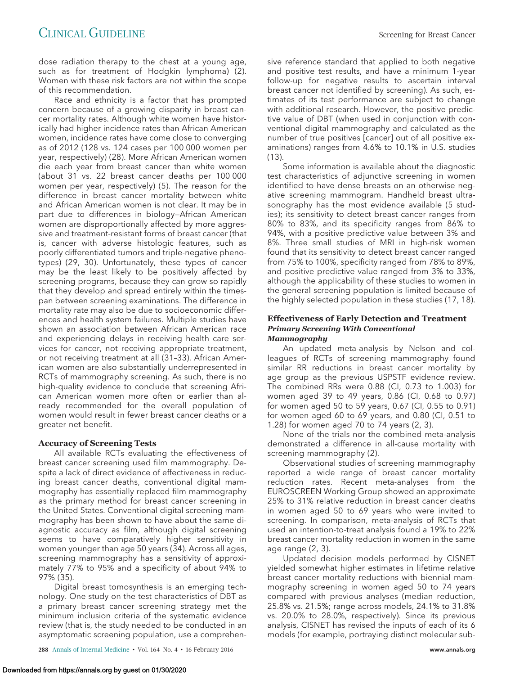dose radiation therapy to the chest at a young age, such as for treatment of Hodgkin lymphoma) (2). Women with these risk factors are not within the scope of this recommendation.

Race and ethnicity is a factor that has prompted concern because of a growing disparity in breast cancer mortality rates. Although white women have historically had higher incidence rates than African American women, incidence rates have come close to converging as of 2012 (128 vs. 124 cases per 100 000 women per year, respectively) (28). More African American women die each year from breast cancer than white women (about 31 vs. 22 breast cancer deaths per 100 000 women per year, respectively) (5). The reason for the difference in breast cancer mortality between white and African American women is not clear. It may be in part due to differences in biology—African American women are disproportionally affected by more aggressive and treatment-resistant forms of breast cancer (that is, cancer with adverse histologic features, such as poorly differentiated tumors and triple-negative phenotypes) (29, 30). Unfortunately, these types of cancer may be the least likely to be positively affected by screening programs, because they can grow so rapidly that they develop and spread entirely within the timespan between screening examinations. The difference in mortality rate may also be due to socioeconomic differences and health system failures. Multiple studies have shown an association between African American race and experiencing delays in receiving health care services for cancer, not receiving appropriate treatment, or not receiving treatment at all (31–33). African American women are also substantially underrepresented in RCTs of mammography screening. As such, there is no high-quality evidence to conclude that screening African American women more often or earlier than already recommended for the overall population of women would result in fewer breast cancer deaths or a greater net benefit.

### **Accuracy of Screening Tests**

All available RCTs evaluating the effectiveness of breast cancer screening used film mammography. Despite a lack of direct evidence of effectiveness in reducing breast cancer deaths, conventional digital mammography has essentially replaced film mammography as the primary method for breast cancer screening in the United States. Conventional digital screening mammography has been shown to have about the same diagnostic accuracy as film, although digital screening seems to have comparatively higher sensitivity in women younger than age 50 years (34). Across all ages, screening mammography has a sensitivity of approximately 77% to 95% and a specificity of about 94% to 97% (35).

Digital breast tomosynthesis is an emerging technology. One study on the test characteristics of DBT as a primary breast cancer screening strategy met the minimum inclusion criteria of the systematic evidence review (that is, the study needed to be conducted in an asymptomatic screening population, use a comprehen-

**288** Annals of Internal Medicine • Vol. 164 No. 4 • 16 February 2016 www.annals.org

sive reference standard that applied to both negative and positive test results, and have a minimum 1-year follow-up for negative results to ascertain interval breast cancer not identified by screening). As such, estimates of its test performance are subject to change with additional research. However, the positive predictive value of DBT (when used in conjunction with conventional digital mammography and calculated as the number of true positives [cancer] out of all positive examinations) ranges from 4.6% to 10.1% in U.S. studies (13).

Some information is available about the diagnostic test characteristics of adjunctive screening in women identified to have dense breasts on an otherwise negative screening mammogram. Handheld breast ultrasonography has the most evidence available (5 studies); its sensitivity to detect breast cancer ranges from 80% to 83%, and its specificity ranges from 86% to 94%, with a positive predictive value between 3% and 8%. Three small studies of MRI in high-risk women found that its sensitivity to detect breast cancer ranged from 75% to 100%, specificity ranged from 78% to 89%, and positive predictive value ranged from 3% to 33%, although the applicability of these studies to women in the general screening population is limited because of the highly selected population in these studies (17, 18).

### **Effectiveness of Early Detection and Treatment** *Primary Screening With Conventional Mammography*

An updated meta-analysis by Nelson and colleagues of RCTs of screening mammography found similar RR reductions in breast cancer mortality by age group as the previous USPSTF evidence review. The combined RRs were 0.88 (CI, 0.73 to 1.003) for women aged 39 to 49 years, 0.86 (CI, 0.68 to 0.97) for women aged 50 to 59 years, 0.67 (CI, 0.55 to 0.91) for women aged 60 to 69 years, and 0.80 (CI, 0.51 to 1.28) for women aged 70 to 74 years (2, 3).

None of the trials nor the combined meta-analysis demonstrated a difference in all-cause mortality with screening mammography (2).

Observational studies of screening mammography reported a wide range of breast cancer mortality reduction rates. Recent meta-analyses from the EUROSCREEN Working Group showed an approximate 25% to 31% relative reduction in breast cancer deaths in women aged 50 to 69 years who were invited to screening. In comparison, meta-analysis of RCTs that used an intention-to-treat analysis found a 19% to 22% breast cancer mortality reduction in women in the same age range (2, 3).

Updated decision models performed by CISNET yielded somewhat higher estimates in lifetime relative breast cancer mortality reductions with biennial mammography screening in women aged 50 to 74 years compared with previous analyses (median reduction, 25.8% vs. 21.5%; range across models, 24.1% to 31.8% vs. 20.0% to 28.0%, respectively). Since its previous analysis, CISNET has revised the inputs of each of its 6 models (for example, portraying distinct molecular sub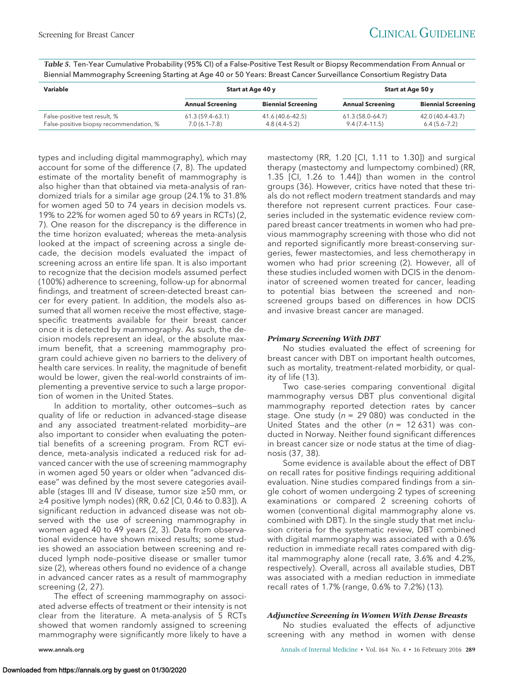*Table 5.* Ten-Year Cumulative Probability (95% CI) of a False-Positive Test Result or Biopsy Recommendation From Annual or Biennial Mammography Screening Starting at Age 40 or 50 Years: Breast Cancer Surveillance Consortium Registry Data

| Variable                                                                 |                                       | Start at Age 50 y<br>Start at Age 40 y |                                     |                                      |
|--------------------------------------------------------------------------|---------------------------------------|----------------------------------------|-------------------------------------|--------------------------------------|
|                                                                          | <b>Annual Screening</b>               | <b>Biennial Screening</b>              | <b>Annual Screening</b>             | <b>Biennial Screening</b>            |
| False-positive test result, %<br>False-positive biopsy recommendation, % | $61.3(59.4-63.1)$<br>$7.0(6.1 - 7.8)$ | 41.6 (40.6–42.5)<br>$4.8(4.4-5.2)$     | 61.3 (58.0–64.7)<br>$9.4(7.4-11.5)$ | 42.0 (40.4-43.7)<br>$6.4(5.6 - 7.2)$ |

types and including digital mammography), which may account for some of the difference (7, 8). The updated estimate of the mortality benefit of mammography is also higher than that obtained via meta-analysis of randomized trials for a similar age group (24.1% to 31.8% for women aged 50 to 74 years in decision models vs. 19% to 22% for women aged 50 to 69 years in RCTs) (2, 7). One reason for the discrepancy is the difference in the time horizon evaluated; whereas the meta-analysis looked at the impact of screening across a single decade, the decision models evaluated the impact of screening across an entire life span. It is also important to recognize that the decision models assumed perfect (100%) adherence to screening, follow-up for abnormal findings, and treatment of screen-detected breast cancer for every patient. In addition, the models also assumed that all women receive the most effective, stagespecific treatments available for their breast cancer once it is detected by mammography. As such, the decision models represent an ideal, or the absolute maximum benefit, that a screening mammography program could achieve given no barriers to the delivery of health care services. In reality, the magnitude of benefit would be lower, given the real-world constraints of implementing a preventive service to such a large proportion of women in the United States.

In addition to mortality, other outcomes—such as quality of life or reduction in advanced-stage disease and any associated treatment-related morbidity—are also important to consider when evaluating the potential benefits of a screening program. From RCT evidence, meta-analysis indicated a reduced risk for advanced cancer with the use of screening mammography in women aged 50 years or older when "advanced disease" was defined by the most severe categories available (stages III and IV disease, tumor size ≥50 mm, or ≥4 positive lymph nodes) (RR, 0.62 [CI, 0.46 to 0.83]). A significant reduction in advanced disease was not observed with the use of screening mammography in women aged 40 to 49 years (2, 3). Data from observational evidence have shown mixed results; some studies showed an association between screening and reduced lymph node–positive disease or smaller tumor size (2), whereas others found no evidence of a change in advanced cancer rates as a result of mammography screening (2, 27).

The effect of screening mammography on associated adverse effects of treatment or their intensity is not clear from the literature. A meta-analysis of 5 RCTs showed that women randomly assigned to screening mammography were significantly more likely to have a

mastectomy (RR, 1.20 [CI, 1.11 to 1.30]) and surgical therapy (mastectomy and lumpectomy combined) (RR, 1.35 [CI, 1.26 to 1.44]) than women in the control groups (36). However, critics have noted that these trials do not reflect modern treatment standards and may therefore not represent current practices. Four caseseries included in the systematic evidence review compared breast cancer treatments in women who had previous mammography screening with those who did not and reported significantly more breast-conserving surgeries, fewer mastectomies, and less chemotherapy in women who had prior screening (2). However, all of these studies included women with DCIS in the denominator of screened women treated for cancer, leading to potential bias between the screened and nonscreened groups based on differences in how DCIS and invasive breast cancer are managed.

### *Primary Screening With DBT*

No studies evaluated the effect of screening for breast cancer with DBT on important health outcomes, such as mortality, treatment-related morbidity, or quality of life (13).

Two case-series comparing conventional digital mammography versus DBT plus conventional digital mammography reported detection rates by cancer stage. One study ( $n = 29080$ ) was conducted in the United States and the other ( $n = 12631$ ) was conducted in Norway. Neither found significant differences in breast cancer size or node status at the time of diagnosis (37, 38).

Some evidence is available about the effect of DBT on recall rates for positive findings requiring additional evaluation. Nine studies compared findings from a single cohort of women undergoing 2 types of screening examinations or compared 2 screening cohorts of women (conventional digital mammography alone vs. combined with DBT). In the single study that met inclusion criteria for the systematic review, DBT combined with digital mammography was associated with a 0.6% reduction in immediate recall rates compared with digital mammography alone (recall rate, 3.6% and 4.2%, respectively). Overall, across all available studies, DBT was associated with a median reduction in immediate recall rates of 1.7% (range, 0.6% to 7.2%) (13).

### *Adjunctive Screening in Women With Dense Breasts*

No studies evaluated the effects of adjunctive screening with any method in women with dense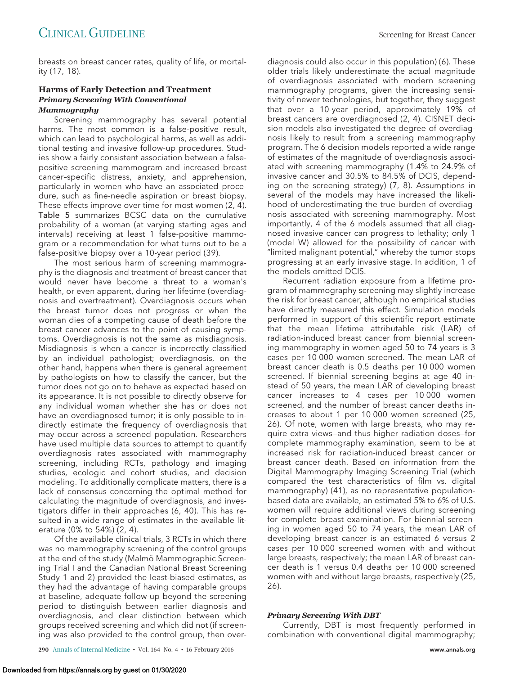breasts on breast cancer rates, quality of life, or mortality (17, 18).

### **Harms of Early Detection and Treatment** *Primary Screening With Conventional Mammography*

Screening mammography has several potential harms. The most common is a false-positive result, which can lead to psychological harms, as well as additional testing and invasive follow-up procedures. Studies show a fairly consistent association between a falsepositive screening mammogram and increased breast cancer–specific distress, anxiety, and apprehension, particularly in women who have an associated procedure, such as fine-needle aspiration or breast biopsy. These effects improve over time for most women (2, 4). Table 5 summarizes BCSC data on the cumulative probability of a woman (at varying starting ages and intervals) receiving at least 1 false-positive mammogram or a recommendation for what turns out to be a false-positive biopsy over a 10-year period (39).

The most serious harm of screening mammography is the diagnosis and treatment of breast cancer that would never have become a threat to a woman's health, or even apparent, during her lifetime (overdiagnosis and overtreatment). Overdiagnosis occurs when the breast tumor does not progress or when the woman dies of a competing cause of death before the breast cancer advances to the point of causing symptoms. Overdiagnosis is not the same as misdiagnosis. Misdiagnosis is when a cancer is incorrectly classified by an individual pathologist; overdiagnosis, on the other hand, happens when there is general agreement by pathologists on how to classify the cancer, but the tumor does not go on to behave as expected based on its appearance. It is not possible to directly observe for any individual woman whether she has or does not have an overdiagnosed tumor; it is only possible to indirectly estimate the frequency of overdiagnosis that may occur across a screened population. Researchers have used multiple data sources to attempt to quantify overdiagnosis rates associated with mammography screening, including RCTs, pathology and imaging studies, ecologic and cohort studies, and decision modeling. To additionally complicate matters, there is a lack of consensus concerning the optimal method for calculating the magnitude of overdiagnosis, and investigators differ in their approaches (6, 40). This has resulted in a wide range of estimates in the available literature (0% to 54%) (2, 4).

Of the available clinical trials, 3 RCTs in which there was no mammography screening of the control groups at the end of the study (Malmö Mammographic Screening Trial I and the Canadian National Breast Screening Study 1 and 2) provided the least-biased estimates, as they had the advantage of having comparable groups at baseline, adequate follow-up beyond the screening period to distinguish between earlier diagnosis and overdiagnosis, and clear distinction between which groups received screening and which did not (if screening was also provided to the control group, then over-

**290** Annals of Internal Medicine • Vol. 164 No. 4 • 16 February 2016 www.annals.org

diagnosis could also occur in this population) (6). These older trials likely underestimate the actual magnitude of overdiagnosis associated with modern screening mammography programs, given the increasing sensitivity of newer technologies, but together, they suggest that over a 10-year period, approximately 19% of breast cancers are overdiagnosed (2, 4). CISNET decision models also investigated the degree of overdiagnosis likely to result from a screening mammography program. The 6 decision models reported a wide range of estimates of the magnitude of overdiagnosis associated with screening mammography (1.4% to 24.9% of invasive cancer and 30.5% to 84.5% of DCIS, depending on the screening strategy) (7, 8). Assumptions in several of the models may have increased the likelihood of underestimating the true burden of overdiagnosis associated with screening mammography. Most importantly, 4 of the 6 models assumed that all diagnosed invasive cancer can progress to lethality; only 1 (model W) allowed for the possibility of cancer with "limited malignant potential," whereby the tumor stops progressing at an early invasive stage. In addition, 1 of the models omitted DCIS.

Recurrent radiation exposure from a lifetime program of mammography screening may slightly increase the risk for breast cancer, although no empirical studies have directly measured this effect. Simulation models performed in support of this scientific report estimate that the mean lifetime attributable risk (LAR) of radiation-induced breast cancer from biennial screening mammography in women aged 50 to 74 years is 3 cases per 10 000 women screened. The mean LAR of breast cancer death is 0.5 deaths per 10 000 women screened. If biennial screening begins at age 40 instead of 50 years, the mean LAR of developing breast cancer increases to 4 cases per 10 000 women screened, and the number of breast cancer deaths increases to about 1 per 10 000 women screened (25, 26). Of note, women with large breasts, who may require extra views—and thus higher radiation doses—for complete mammography examination, seem to be at increased risk for radiation-induced breast cancer or breast cancer death. Based on information from the Digital Mammography Imaging Screening Trial (which compared the test characteristics of film vs. digital mammography) (41), as no representative populationbased data are available, an estimated 5% to 6% of U.S. women will require additional views during screening for complete breast examination. For biennial screening in women aged 50 to 74 years, the mean LAR of developing breast cancer is an estimated 6 versus 2 cases per 10 000 screened women with and without large breasts, respectively; the mean LAR of breast cancer death is 1 versus 0.4 deaths per 10 000 screened women with and without large breasts, respectively (25, 26).

### *Primary Screening With DBT*

Currently, DBT is most frequently performed in combination with conventional digital mammography;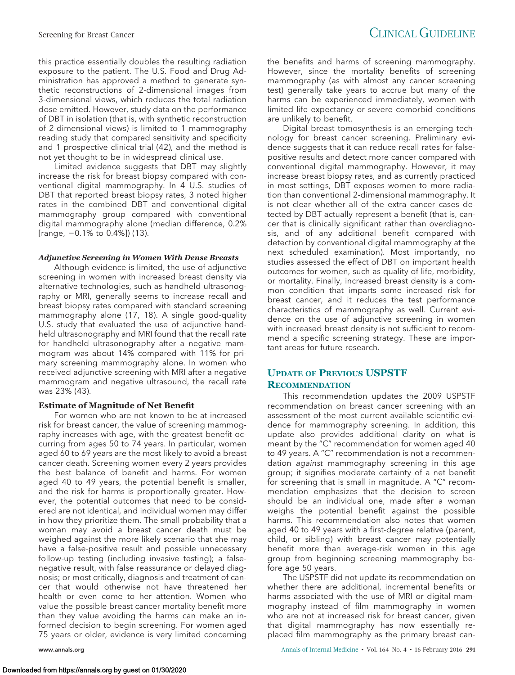this practice essentially doubles the resulting radiation exposure to the patient. The U.S. Food and Drug Administration has approved a method to generate synthetic reconstructions of 2-dimensional images from 3-dimensional views, which reduces the total radiation dose emitted. However, study data on the performance of DBT in isolation (that is, with synthetic reconstruction of 2-dimensional views) is limited to 1 mammography reading study that compared sensitivity and specificity and 1 prospective clinical trial (42), and the method is not yet thought to be in widespread clinical use.

Limited evidence suggests that DBT may slightly increase the risk for breast biopsy compared with conventional digital mammography. In 4 U.S. studies of DBT that reported breast biopsy rates, 3 noted higher rates in the combined DBT and conventional digital mammography group compared with conventional digital mammography alone (median difference, 0.2% [range, -0.1% to 0.4%]) (13).

#### *Adjunctive Screening in Women With Dense Breasts*

Although evidence is limited, the use of adjunctive screening in women with increased breast density via alternative technologies, such as handheld ultrasonography or MRI, generally seems to increase recall and breast biopsy rates compared with standard screening mammography alone (17, 18). A single good-quality U.S. study that evaluated the use of adjunctive handheld ultrasonography and MRI found that the recall rate for handheld ultrasonography after a negative mammogram was about 14% compared with 11% for primary screening mammography alone. In women who received adjunctive screening with MRI after a negative mammogram and negative ultrasound, the recall rate was 23% (43).

### **Estimate of Magnitude of Net Benefit**

For women who are not known to be at increased risk for breast cancer, the value of screening mammography increases with age, with the greatest benefit occurring from ages 50 to 74 years. In particular, women aged 60 to 69 years are the most likely to avoid a breast cancer death. Screening women every 2 years provides the best balance of benefit and harms. For women aged 40 to 49 years, the potential benefit is smaller, and the risk for harms is proportionally greater. However, the potential outcomes that need to be considered are not identical, and individual women may differ in how they prioritize them. The small probability that a woman may avoid a breast cancer death must be weighed against the more likely scenario that she may have a false-positive result and possible unnecessary follow-up testing (including invasive testing); a falsenegative result, with false reassurance or delayed diagnosis; or most critically, diagnosis and treatment of cancer that would otherwise not have threatened her health or even come to her attention. Women who value the possible breast cancer mortality benefit more than they value avoiding the harms can make an informed decision to begin screening. For women aged 75 years or older, evidence is very limited concerning

the benefits and harms of screening mammography. However, since the mortality benefits of screening mammography (as with almost any cancer screening test) generally take years to accrue but many of the harms can be experienced immediately, women with limited life expectancy or severe comorbid conditions are unlikely to benefit.

Digital breast tomosynthesis is an emerging technology for breast cancer screening. Preliminary evidence suggests that it can reduce recall rates for falsepositive results and detect more cancer compared with conventional digital mammography. However, it may increase breast biopsy rates, and as currently practiced in most settings, DBT exposes women to more radiation than conventional 2-dimensional mammography. It is not clear whether all of the extra cancer cases detected by DBT actually represent a benefit (that is, cancer that is clinically significant rather than overdiagnosis, and of any additional benefit compared with detection by conventional digital mammography at the next scheduled examination). Most importantly, no studies assessed the effect of DBT on important health outcomes for women, such as quality of life, morbidity, or mortality. Finally, increased breast density is a common condition that imparts some increased risk for breast cancer, and it reduces the test performance characteristics of mammography as well. Current evidence on the use of adjunctive screening in women with increased breast density is not sufficient to recommend a specific screening strategy. These are important areas for future research.

### **UPDATE OF PREVIOUS USPSTF RECOMMENDATION**

This recommendation updates the 2009 USPSTF recommendation on breast cancer screening with an assessment of the most current available scientific evidence for mammography screening. In addition, this update also provides additional clarity on what is meant by the "C" recommendation for women aged 40 to 49 years. A "C" recommendation is not a recommendation against mammography screening in this age group; it signifies moderate certainty of a net benefit for screening that is small in magnitude. A "C" recommendation emphasizes that the decision to screen should be an individual one, made after a woman weighs the potential benefit against the possible harms. This recommendation also notes that women aged 40 to 49 years with a first-degree relative (parent, child, or sibling) with breast cancer may potentially benefit more than average-risk women in this age group from beginning screening mammography before age 50 years.

The USPSTF did not update its recommendation on whether there are additional, incremental benefits or harms associated with the use of MRI or digital mammography instead of film mammography in women who are not at increased risk for breast cancer, given that digital mammography has now essentially replaced film mammography as the primary breast can-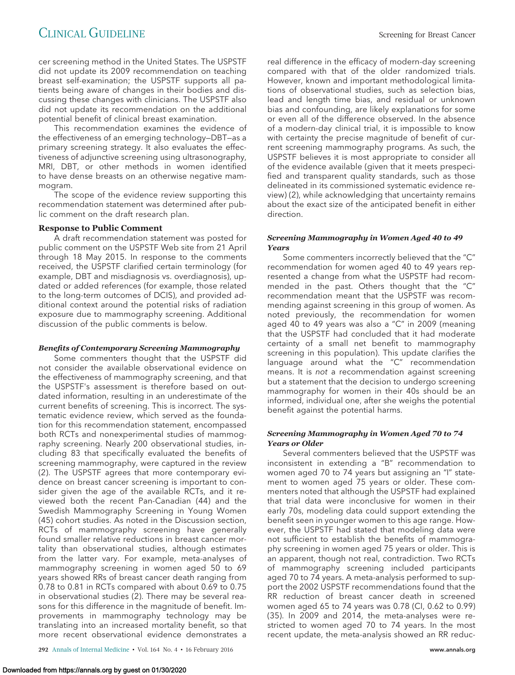cer screening method in the United States. The USPSTF did not update its 2009 recommendation on teaching breast self-examination; the USPSTF supports all patients being aware of changes in their bodies and discussing these changes with clinicians. The USPSTF also did not update its recommendation on the additional potential benefit of clinical breast examination.

This recommendation examines the evidence of the effectiveness of an emerging technology—DBT—as a primary screening strategy. It also evaluates the effectiveness of adjunctive screening using ultrasonography, MRI, DBT, or other methods in women identified to have dense breasts on an otherwise negative mammogram.

The scope of the evidence review supporting this recommendation statement was determined after public comment on the draft research plan.

### **Response to Public Comment**

A draft recommendation statement was posted for public comment on the USPSTF Web site from 21 April through 18 May 2015. In response to the comments received, the USPSTF clarified certain terminology (for example, DBT and misdiagnosis vs. overdiagnosis), updated or added references (for example, those related to the long-term outcomes of DCIS), and provided additional context around the potential risks of radiation exposure due to mammography screening. Additional discussion of the public comments is below.

### *Benefits of Contemporary Screening Mammography*

Some commenters thought that the USPSTF did not consider the available observational evidence on the effectiveness of mammography screening, and that the USPSTF's assessment is therefore based on outdated information, resulting in an underestimate of the current benefits of screening. This is incorrect. The systematic evidence review, which served as the foundation for this recommendation statement, encompassed both RCTs and nonexperimental studies of mammography screening. Nearly 200 observational studies, including 83 that specifically evaluated the benefits of screening mammography, were captured in the review (2). The USPSTF agrees that more contemporary evidence on breast cancer screening is important to consider given the age of the available RCTs, and it reviewed both the recent Pan-Canadian (44) and the Swedish Mammography Screening in Young Women (45) cohort studies. As noted in the Discussion section, RCTs of mammography screening have generally found smaller relative reductions in breast cancer mortality than observational studies, although estimates from the latter vary. For example, meta-analyses of mammography screening in women aged 50 to 69 years showed RRs of breast cancer death ranging from 0.78 to 0.81 in RCTs compared with about 0.69 to 0.75 in observational studies (2). There may be several reasons for this difference in the magnitude of benefit. Improvements in mammography technology may be translating into an increased mortality benefit, so that more recent observational evidence demonstrates a

**292** Annals of Internal Medicine • Vol. 164 No. 4 • 16 February 2016 www.annals.org

real difference in the efficacy of modern-day screening compared with that of the older randomized trials. However, known and important methodological limitations of observational studies, such as selection bias, lead and length time bias, and residual or unknown bias and confounding, are likely explanations for some or even all of the difference observed. In the absence of a modern-day clinical trial, it is impossible to know with certainty the precise magnitude of benefit of current screening mammography programs. As such, the USPSTF believes it is most appropriate to consider all of the evidence available (given that it meets prespecified and transparent quality standards, such as those delineated in its commissioned systematic evidence review) (2), while acknowledging that uncertainty remains about the exact size of the anticipated benefit in either direction.

### *Screening Mammography in Women Aged 40 to 49 Years*

Some commenters incorrectly believed that the "C" recommendation for women aged 40 to 49 years represented a change from what the USPSTF had recommended in the past. Others thought that the "C" recommendation meant that the USPSTF was recommending against screening in this group of women. As noted previously, the recommendation for women aged 40 to 49 years was also a "C" in 2009 (meaning that the USPSTF had concluded that it had moderate certainty of a small net benefit to mammography screening in this population). This update clarifies the language around what the "C" recommendation means. It is not a recommendation against screening but a statement that the decision to undergo screening mammography for women in their 40s should be an informed, individual one, after she weighs the potential benefit against the potential harms.

### *Screening Mammography in Women Aged 70 to 74 Years or Older*

Several commenters believed that the USPSTF was inconsistent in extending a "B" recommendation to women aged 70 to 74 years but assigning an "I" statement to women aged 75 years or older. These commenters noted that although the USPSTF had explained that trial data were inconclusive for women in their early 70s, modeling data could support extending the benefit seen in younger women to this age range. However, the USPSTF had stated that modeling data were not sufficient to establish the benefits of mammography screening in women aged 75 years or older. This is an apparent, though not real, contradiction. Two RCTs of mammography screening included participants aged 70 to 74 years. A meta-analysis performed to support the 2002 USPSTF recommendations found that the RR reduction of breast cancer death in screened women aged 65 to 74 years was 0.78 (CI, 0.62 to 0.99) (35). In 2009 and 2014, the meta-analyses were restricted to women aged 70 to 74 years. In the most recent update, the meta-analysis showed an RR reduc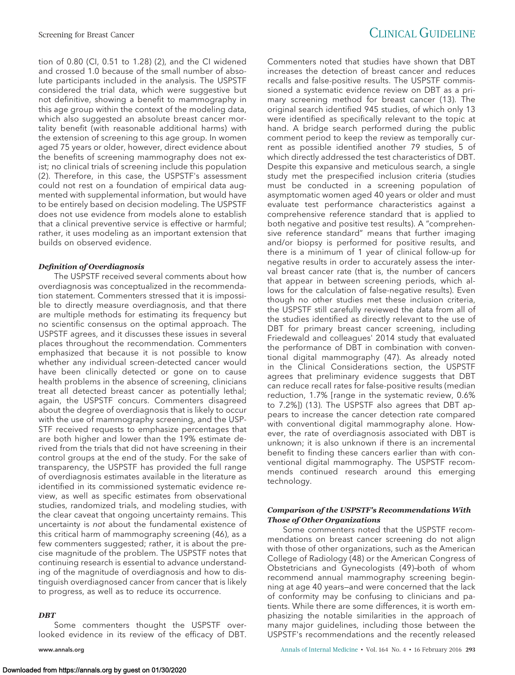tion of 0.80 (CI, 0.51 to 1.28) (2), and the CI widened and crossed 1.0 because of the small number of absolute participants included in the analysis. The USPSTF considered the trial data, which were suggestive but not definitive, showing a benefit to mammography in this age group within the context of the modeling data, which also suggested an absolute breast cancer mortality benefit (with reasonable additional harms) with the extension of screening to this age group. In women aged 75 years or older, however, direct evidence about the benefits of screening mammography does not exist; no clinical trials of screening include this population (2). Therefore, in this case, the USPSTF's assessment could not rest on a foundation of empirical data augmented with supplemental information, but would have to be entirely based on decision modeling. The USPSTF does not use evidence from models alone to establish that a clinical preventive service is effective or harmful; rather, it uses modeling as an important extension that builds on observed evidence.

### *Definition of Overdiagnosis*

The USPSTF received several comments about how overdiagnosis was conceptualized in the recommendation statement. Commenters stressed that it is impossible to directly measure overdiagnosis, and that there are multiple methods for estimating its frequency but no scientific consensus on the optimal approach. The USPSTF agrees, and it discusses these issues in several places throughout the recommendation. Commenters emphasized that because it is not possible to know whether any individual screen-detected cancer would have been clinically detected or gone on to cause health problems in the absence of screening, clinicians treat all detected breast cancer as potentially lethal; again, the USPSTF concurs. Commenters disagreed about the degree of overdiagnosis that is likely to occur with the use of mammography screening, and the USP-STF received requests to emphasize percentages that are both higher and lower than the 19% estimate derived from the trials that did not have screening in their control groups at the end of the study. For the sake of transparency, the USPSTF has provided the full range of overdiagnosis estimates available in the literature as identified in its commissioned systematic evidence review, as well as specific estimates from observational studies, randomized trials, and modeling studies, with the clear caveat that ongoing uncertainty remains. This uncertainty is not about the fundamental existence of this critical harm of mammography screening (46), as a few commenters suggested; rather, it is about the precise magnitude of the problem. The USPSTF notes that continuing research is essential to advance understanding of the magnitude of overdiagnosis and how to distinguish overdiagnosed cancer from cancer that is likely to progress, as well as to reduce its occurrence.

### *DBT*

Some commenters thought the USPSTF overlooked evidence in its review of the efficacy of DBT.

Commenters noted that studies have shown that DBT increases the detection of breast cancer and reduces recalls and false-positive results. The USPSTF commissioned a systematic evidence review on DBT as a primary screening method for breast cancer (13). The original search identified 945 studies, of which only 13 were identified as specifically relevant to the topic at hand. A bridge search performed during the public comment period to keep the review as temporally current as possible identified another 79 studies, 5 of which directly addressed the test characteristics of DBT. Despite this expansive and meticulous search, a single study met the prespecified inclusion criteria (studies must be conducted in a screening population of asymptomatic women aged 40 years or older and must evaluate test performance characteristics against a comprehensive reference standard that is applied to both negative and positive test results). A "comprehensive reference standard" means that further imaging and/or biopsy is performed for positive results, and there is a minimum of 1 year of clinical follow-up for negative results in order to accurately assess the interval breast cancer rate (that is, the number of cancers that appear in between screening periods, which allows for the calculation of false-negative results). Even though no other studies met these inclusion criteria, the USPSTF still carefully reviewed the data from all of the studies identified as directly relevant to the use of DBT for primary breast cancer screening, including Friedewald and colleagues' 2014 study that evaluated the performance of DBT in combination with conventional digital mammography (47). As already noted in the Clinical Considerations section, the USPSTF agrees that preliminary evidence suggests that DBT can reduce recall rates for false-positive results (median reduction, 1.7% [range in the systematic review, 0.6% to 7.2%]) (13). The USPSTF also agrees that DBT appears to increase the cancer detection rate compared with conventional digital mammography alone. However, the rate of overdiagnosis associated with DBT is unknown; it is also unknown if there is an incremental benefit to finding these cancers earlier than with conventional digital mammography. The USPSTF recommends continued research around this emerging technology.

### *Comparison of the USPSTF's Recommendations With Those of Other Organizations*

Some commenters noted that the USPSTF recommendations on breast cancer screening do not align with those of other organizations, such as the American College of Radiology (48) or the American Congress of Obstetricians and Gynecologists (49)—both of whom recommend annual mammography screening beginning at age 40 years—and were concerned that the lack of conformity may be confusing to clinicians and patients. While there are some differences, it is worth emphasizing the notable similarities in the approach of many major guidelines, including those between the USPSTF's recommendations and the recently released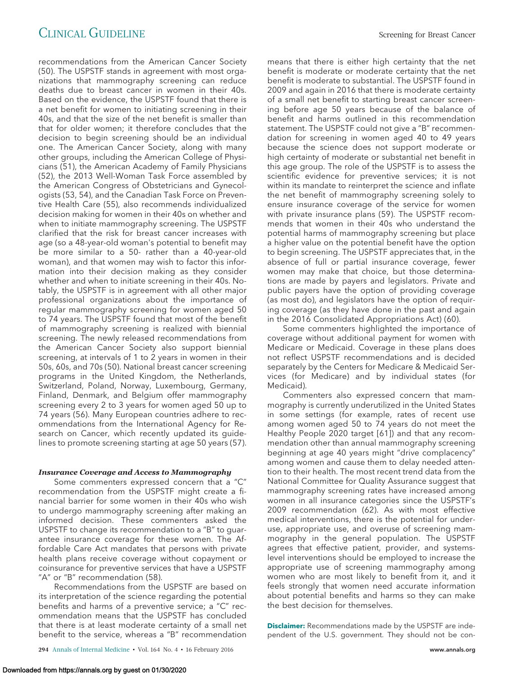recommendations from the American Cancer Society (50). The USPSTF stands in agreement with most organizations that mammography screening can reduce deaths due to breast cancer in women in their 40s. Based on the evidence, the USPSTF found that there is a net benefit for women to initiating screening in their 40s, and that the size of the net benefit is smaller than that for older women; it therefore concludes that the decision to begin screening should be an individual one. The American Cancer Society, along with many other groups, including the American College of Physicians (51), the American Academy of Family Physicians (52), the 2013 Well-Woman Task Force assembled by the American Congress of Obstetricians and Gynecologists (53, 54), and the Canadian Task Force on Preventive Health Care (55), also recommends individualized decision making for women in their 40s on whether and when to initiate mammography screening. The USPSTF clarified that the risk for breast cancer increases with age (so a 48-year-old woman's potential to benefit may be more similar to a 50- rather than a 40-year-old woman), and that women may wish to factor this information into their decision making as they consider whether and when to initiate screening in their 40s. Notably, the USPSTF is in agreement with all other major professional organizations about the importance of regular mammography screening for women aged 50 to 74 years. The USPSTF found that most of the benefit of mammography screening is realized with biennial screening. The newly released recommendations from the American Cancer Society also support biennial screening, at intervals of 1 to 2 years in women in their 50s, 60s, and 70s (50). National breast cancer screening programs in the United Kingdom, the Netherlands, Switzerland, Poland, Norway, Luxembourg, Germany, Finland, Denmark, and Belgium offer mammography screening every 2 to 3 years for women aged 50 up to 74 years (56). Many European countries adhere to recommendations from the International Agency for Research on Cancer, which recently updated its guidelines to promote screening starting at age 50 years (57).

### *Insurance Coverage and Access to Mammography*

Some commenters expressed concern that a "C" recommendation from the USPSTF might create a financial barrier for some women in their 40s who wish to undergo mammography screening after making an informed decision. These commenters asked the USPSTF to change its recommendation to a "B" to guarantee insurance coverage for these women. The Affordable Care Act mandates that persons with private health plans receive coverage without copayment or coinsurance for preventive services that have a USPSTF "A" or "B" recommendation (58).

Recommendations from the USPSTF are based on its interpretation of the science regarding the potential benefits and harms of a preventive service; a "C" recommendation means that the USPSTF has concluded that there is at least moderate certainty of a small net benefit to the service, whereas a "B" recommendation

**294** Annals of Internal Medicine • Vol. 164 No. 4 • 16 February 2016 www.annals.org

means that there is either high certainty that the net benefit is moderate or moderate certainty that the net benefit is moderate to substantial. The USPSTF found in 2009 and again in 2016 that there is moderate certainty of a small net benefit to starting breast cancer screening before age 50 years because of the balance of benefit and harms outlined in this recommendation statement. The USPSTF could not give a "B" recommendation for screening in women aged 40 to 49 years because the science does not support moderate or high certainty of moderate or substantial net benefit in this age group. The role of the USPSTF is to assess the scientific evidence for preventive services; it is not within its mandate to reinterpret the science and inflate the net benefit of mammography screening solely to ensure insurance coverage of the service for women with private insurance plans (59). The USPSTF recommends that women in their 40s who understand the potential harms of mammography screening but place a higher value on the potential benefit have the option to begin screening. The USPSTF appreciates that, in the absence of full or partial insurance coverage, fewer women may make that choice, but those determinations are made by payers and legislators. Private and public payers have the option of providing coverage (as most do), and legislators have the option of requiring coverage (as they have done in the past and again in the 2016 Consolidated Appropriations Act) (60).

Some commenters highlighted the importance of coverage without additional payment for women with Medicare or Medicaid. Coverage in these plans does not reflect USPSTF recommendations and is decided separately by the Centers for Medicare & Medicaid Services (for Medicare) and by individual states (for Medicaid).

Commenters also expressed concern that mammography is currently underutilized in the United States in some settings (for example, rates of recent use among women aged 50 to 74 years do not meet the Healthy People 2020 target [61]) and that any recommendation other than annual mammography screening beginning at age 40 years might "drive complacency" among women and cause them to delay needed attention to their health. The most recent trend data from the National Committee for Quality Assurance suggest that mammography screening rates have increased among women in all insurance categories since the USPSTF's 2009 recommendation (62). As with most effective medical interventions, there is the potential for underuse, appropriate use, and overuse of screening mammography in the general population. The USPSTF agrees that effective patient, provider, and systemslevel interventions should be employed to increase the appropriate use of screening mammography among women who are most likely to benefit from it, and it feels strongly that women need accurate information about potential benefits and harms so they can make the best decision for themselves.

**Disclaimer:** Recommendations made by the USPSTF are independent of the U.S. government. They should not be con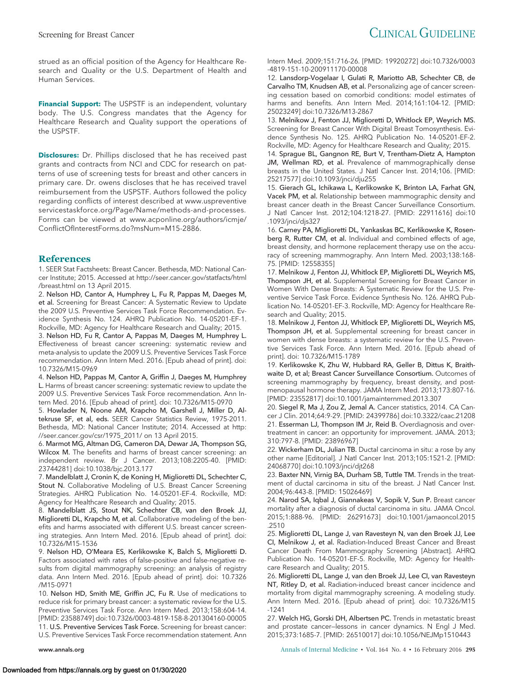strued as an official position of the Agency for Healthcare Research and Quality or the U.S. Department of Health and Human Services.

**Financial Support:** The USPSTF is an independent, voluntary body. The U.S. Congress mandates that the Agency for Healthcare Research and Quality support the operations of the USPSTF.

**Disclosures:** Dr. Phillips disclosed that he has received past grants and contracts from NCI and CDC for research on patterns of use of screening tests for breast and other cancers in primary care. Dr. owens discloses that he has received travel reimbursement from the USPSTF. Authors followed the policy regarding conflicts of interest described at www.uspreventive servicestaskforce.org/Page/Name/methods-and-processes. Forms can be viewed at www.acponline.org/authors/icmje/ ConflictOfInterestForms.do?msNum=M15-2886.

### **References**

1. SEER Stat Factsheets: Breast Cancer. Bethesda, MD: National Cancer Institute; 2015. Accessed at http://seer.cancer.gov/statfacts/html /breast.html on 13 April 2015.

2. Nelson HD, Cantor A, Humphrey L, Fu R, Pappas M, Daeges M, et al. Screening for Breast Cancer: A Systematic Review to Update the 2009 U.S. Preventive Services Task Force Recommendation. Evidence Synthesis No. 124. AHRQ Publication No. 14-05201-EF-1. Rockville, MD: Agency for Healthcare Research and Quality; 2015.

3. Nelson HD, Fu R, Cantor A, Pappas M, Daeges M, Humphrey L. Effectiveness of breast cancer screening: systematic review and meta-analysis to update the 2009 U.S. Preventive Services Task Force recommendation. Ann Intern Med. 2016. [Epub ahead of print]. doi: 10.7326/M15-0969

4. Nelson HD, Pappas M, Cantor A, Griffin J, Daeges M, Humphrey L. Harms of breast cancer screening: systematic review to update the 2009 U.S. Preventive Services Task Force recommendation. Ann Intern Med. 2016. [Epub ahead of print]. doi: 10.7326/M15-0970

5. Howlader N, Noone AM, Krapcho M, Garshell J, Miller D, Altekruse SF, et al, eds. SEER Cancer Statistics Review, 1975-2011. Bethesda, MD: National Cancer Institute; 2014. Accessed at http: //seer.cancer.gov/csr/1975\_2011/ on 13 April 2015.

6. Marmot MG, Altman DG, Cameron DA, Dewar JA, Thompson SG, Wilcox M. The benefits and harms of breast cancer screening: an independent review. Br J Cancer. 2013;108:2205-40. [PMID: 23744281] doi:10.1038/bjc.2013.177

7. Mandelblatt J, Cronin K, de Koning H, Miglioretti DL, Schechter C, Stout N. Collaborative Modeling of U.S. Breast Cancer Screening Strategies. AHRQ Publication No. 14-05201-EF-4. Rockville, MD: Agency for Healthcare Research and Quality; 2015.

8. Mandelblatt JS, Stout NK, Schechter CB, van den Broek JJ, Miglioretti DL, Krapcho M, et al. Collaborative modeling of the benefits and harms associated with different U.S. breast cancer screening strategies. Ann Intern Med. 2016. [Epub ahead of print]. doi: 10.7326/M15-1536

9. Nelson HD, O'Meara ES, Kerlikowske K, Balch S, Miglioretti D. Factors associated with rates of false-positive and false-negative results from digital mammography screening: an analysis of registry data. Ann Intern Med. 2016. [Epub ahead of print]. doi: 10.7326 /M15-0971

10. Nelson HD, Smith ME, Griffin JC, Fu R. Use of medications to reduce risk for primary breast cancer: a systematic review for the U.S. Preventive Services Task Force. Ann Intern Med. 2013;158:604-14. [PMID: 23588749] doi:10.7326/0003-4819-158-8-201304160-00005 11. U.S. Preventive Services Task Force. Screening for breast cancer: U.S. Preventive Services Task Force recommendation statement. Ann

Intern Med. 2009;151:716-26. [PMID: 19920272] doi:10.7326/0003 -4819-151-10-200911170-00008

12. Lansdorp-Vogelaar I, Gulati R, Mariotto AB, Schechter CB, de Carvalho TM, Knudsen AB, et al. Personalizing age of cancer screening cessation based on comorbid conditions: model estimates of harms and benefits. Ann Intern Med. 2014;161:104-12. [PMID: 25023249] doi:10.7326/M13-2867

13. Melnikow J, Fenton JJ, Miglioretti D, Whitlock EP, Weyrich MS. Screening for Breast Cancer With Digital Breast Tomosynthesis. Evidence Synthesis No. 125. AHRQ Publication No. 14-05201-EF-2. Rockville, MD: Agency for Healthcare Research and Quality; 2015.

14. Sprague BL, Gangnon RE, Burt V, Trentham-Dietz A, Hampton JM, Wellman RD, et al. Prevalence of mammographically dense breasts in the United States. J Natl Cancer Inst. 2014;106. [PMID: 25217577] doi:10.1093/jnci/dju255

15. Gierach GL, Ichikawa L, Kerlikowske K, Brinton LA, Farhat GN, Vacek PM, et al. Relationship between mammographic density and breast cancer death in the Breast Cancer Surveillance Consortium. J Natl Cancer Inst. 2012;104:1218-27. [PMID: 22911616] doi:10 .1093/jnci/djs327

16. Carney PA, Miglioretti DL, Yankaskas BC, Kerlikowske K, Rosenberg R, Rutter CM, et al. Individual and combined effects of age, breast density, and hormone replacement therapy use on the accuracy of screening mammography. Ann Intern Med. 2003;138:168- 75. [PMID: 12558355]

17. Melnikow J, Fenton JJ, Whitlock EP, Miglioretti DL, Weyrich MS, Thompson JH, et al. Supplemental Screening for Breast Cancer in Women With Dense Breasts: A Systematic Review for the U.S. Preventive Service Task Force. Evidence Synthesis No. 126. AHRQ Publication No. 14-05201-EF-3. Rockville, MD: Agency for Healthcare Research and Quality; 2015.

18. Melnikow J, Fenton JJ, Whitlock EP, Miglioretti DL, Weyrich MS, Thompson JH, et al. Supplemental screening for breast cancer in women with dense breasts: a systematic review for the U.S. Preventive Services Task Force. Ann Intern Med. 2016. [Epub ahead of print]. doi: 10.7326/M15-1789

19. Kerlikowske K, Zhu W, Hubbard RA, Geller B, Dittus K, Braithwaite D, et al; Breast Cancer Surveillance Consortium. Outcomes of screening mammography by frequency, breast density, and postmenopausal hormone therapy. JAMA Intern Med. 2013;173:807-16. [PMID: 23552817] doi:10.1001/jamainternmed.2013.307

20. Siegel R, Ma J, Zou Z, Jemal A. Cancer statistics, 2014. CA Cancer J Clin. 2014;64:9-29. [PMID: 24399786] doi:10.3322/caac.21208 21. Esserman LJ, Thompson IM Jr, Reid B. Overdiagnosis and overtreatment in cancer: an opportunity for improvement. JAMA. 2013; 310:797-8. [PMID: 23896967]

22. Wickerham DL, Julian TB. Ductal carcinoma in situ: a rose by any other name [Editorial]. J Natl Cancer Inst. 2013;105:1521-2. [PMID: 24068770] doi:10.1093/jnci/djt268

23. Baxter NN, Virnig BA, Durham SB, Tuttle TM. Trends in the treatment of ductal carcinoma in situ of the breast. J Natl Cancer Inst. 2004;96:443-8. [PMID: 15026469]

24. Narod SA, Iqbal J, Giannakeas V, Sopik V, Sun P. Breast cancer mortality after a diagnosis of ductal carcinoma in situ. JAMA Oncol. 2015;1:888-96. [PMID: 26291673] doi:10.1001/jamaoncol.2015 .2510

25. Miglioretti DL, Lange J, van Ravesteyn N, van den Broek JJ, Lee CI, Melnikow J, et al. Radiation-Induced Breast Cancer and Breast Cancer Death From Mammography Screening [Abstract]. AHRQ Publication No. 14-05201-EF-5. Rockville, MD: Agency for Healthcare Research and Quality; 2015.

26. Miglioretti DL, Lange J, van den Broek JJ, Lee CI, van Ravesteyn NT, Ritley D, et al. Radiation-induced breast cancer incidence and mortality from digital mammography screening. A modeling study. Ann Intern Med. 2016. [Epub ahead of print]. doi: 10.7326/M15 -1241

27. Welch HG, Gorski DH, Albertsen PC. Trends in metastatic breast and prostate cancer—lessons in cancer dynamics. N Engl J Med. 2015;373:1685-7. [PMID: 26510017] doi:10.1056/NEJMp1510443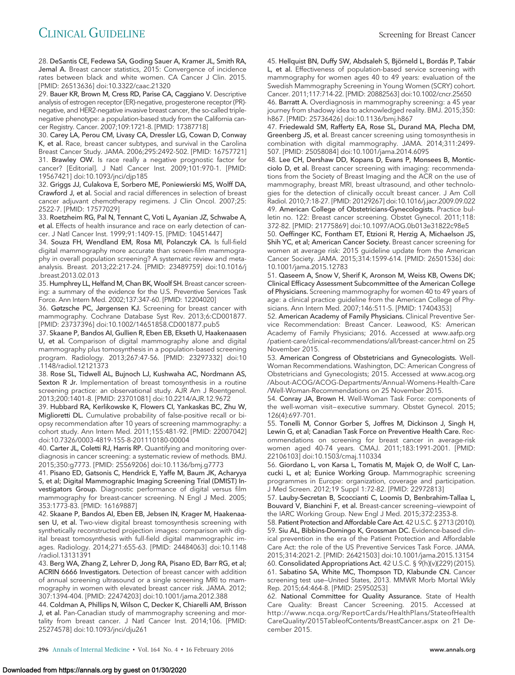28. DeSantis CE, Fedewa SA, Goding Sauer A, Kramer JL, Smith RA, Jemal A. Breast cancer statistics, 2015: Convergence of incidence rates between black and white women. CA Cancer J Clin. 2015. [PMID: 26513636] doi:10.3322/caac.21320

29. Bauer KR, Brown M, Cress RD, Parise CA, Caggiano V. Descriptive analysis of estrogen receptor (ER)-negative, progesterone receptor (PR) negative, and HER2-negative invasive breast cancer, the so-called triplenegative phenotype: a population-based study from the California cancer Registry. Cancer. 2007;109:1721-8. [PMID: 17387718]

30. Carey LA, Perou CM, Livasy CA, Dressler LG, Cowan D, Conway K, et al. Race, breast cancer subtypes, and survival in the Carolina Breast Cancer Study. JAMA. 2006;295:2492-502. [PMID: 16757721] 31. Brawley OW. Is race really a negative prognostic factor for cancer? [Editorial]. J Natl Cancer Inst. 2009;101:970-1. [PMID: 19567421] doi:10.1093/jnci/djp185

32. Griggs JJ, Culakova E, Sorbero ME, Poniewierski MS, Wolff DA, Crawford J, et al. Social and racial differences in selection of breast cancer adjuvant chemotherapy regimens. J Clin Oncol. 2007;25: 2522-7. [PMID: 17577029]

33. Roetzheim RG, Pal N, Tennant C, Voti L, Ayanian JZ, Schwabe A, et al. Effects of health insurance and race on early detection of cancer. J Natl Cancer Inst. 1999;91:1409-15. [PMID: 10451447]

34. Souza FH, Wendland EM, Rosa MI, Polanczyk CA. Is full-field digital mammography more accurate than screen-film mammography in overall population screening? A systematic review and metaanalysis. Breast. 2013;22:217-24. [PMID: 23489759] doi:10.1016/j .breast.2013.02.013

35. Humphrey LL, Helfand M, Chan BK, Woolf SH. Breast cancer screening: a summary of the evidence for the U.S. Preventive Services Task Force. Ann Intern Med. 2002;137:347-60. [PMID: 12204020]

36. Gøtzsche PC, Jørgensen KJ. Screening for breast cancer with mammography. Cochrane Database Syst Rev. 2013;6:CD001877. [PMID: 23737396] doi:10.1002/14651858.CD001877.pub5

37. Skaane P, Bandos AI, Gullien R, Eben EB, Ekseth U, Haakenaasen U, et al. Comparison of digital mammography alone and digital mammography plus tomosynthesis in a population-based screening program. Radiology. 2013;267:47-56. [PMID: 23297332] doi:10 .1148/radiol.12121373

38. Rose SL, Tidwell AL, Bujnoch LJ, Kushwaha AC, Nordmann AS, Sexton R Jr. Implementation of breast tomosynthesis in a routine screening practice: an observational study. AJR Am J Roentgenol. 2013;200:1401-8. [PMID: 23701081] doi:10.2214/AJR.12.9672

39. Hubbard RA, Kerlikowske K, Flowers CI, Yankaskas BC, Zhu W, Miglioretti DL. Cumulative probability of false-positive recall or biopsy recommendation after 10 years of screening mammography: a cohort study. Ann Intern Med. 2011;155:481-92. [PMID: 22007042] doi:10.7326/0003-4819-155-8-201110180-00004

40. Carter JL, Coletti RJ, Harris RP. Quantifying and monitoring overdiagnosis in cancer screening: a systematic review of methods. BMJ. 2015;350:g7773. [PMID: 25569206] doi:10.1136/bmj.g7773

41. Pisano ED, Gatsonis C, Hendrick E, Yaffe M, Baum JK, Acharyya S, et al; Digital Mammographic Imaging Screening Trial (DMIST) Investigators Group. Diagnostic performance of digital versus film mammography for breast-cancer screening. N Engl J Med. 2005; 353:1773-83. [PMID: 16169887]

42. Skaane P, Bandos AI, Eben EB, Jebsen IN, Krager M, Haakenaasen U, et al. Two-view digital breast tomosynthesis screening with synthetically reconstructed projection images: comparison with digital breast tomosynthesis with full-field digital mammographic images. Radiology. 2014;271:655-63. [PMID: 24484063] doi:10.1148 /radiol.13131391

43. Berg WA, Zhang Z, Lehrer D, Jong RA, Pisano ED, Barr RG, et al; ACRIN 6666 Investigators. Detection of breast cancer with addition of annual screening ultrasound or a single screening MRI to mammography in women with elevated breast cancer risk. JAMA. 2012; 307:1394-404. [PMID: 22474203] doi:10.1001/jama.2012.388

44. Coldman A, Phillips N, Wilson C, Decker K, Chiarelli AM, Brisson J, et al. Pan-Canadian study of mammography screening and mortality from breast cancer. J Natl Cancer Inst. 2014;106. [PMID: 25274578] doi:10.1093/jnci/dju261

45. Hellquist BN, Duffy SW, Abdsaleh S, Björneld L, Bordás P, Tabár L, et al. Effectiveness of population-based service screening with mammography for women ages 40 to 49 years: evaluation of the Swedish Mammography Screening in Young Women (SCRY) cohort. Cancer. 2011;117:714-22. [PMID: 20882563] doi:10.1002/cncr.25650

46. Barratt A. Overdiagnosis in mammography screening: a 45 year journey from shadowy idea to acknowledged reality. BMJ. 2015;350: h867. [PMID: 25736426] doi:10.1136/bmj.h867

47. Friedewald SM, Rafferty EA, Rose SL, Durand MA, Plecha DM, Greenberg JS, et al. Breast cancer screening using tomosynthesis in combination with digital mammography. JAMA. 2014;311:2499- 507. [PMID: 25058084] doi:10.1001/jama.2014.6095

48. Lee CH, Dershaw DD, Kopans D, Evans P, Monsees B, Monticciolo D, et al. Breast cancer screening with imaging: recommendations from the Society of Breast Imaging and the ACR on the use of mammography, breast MRI, breast ultrasound, and other technologies for the detection of clinically occult breast cancer. J Am Coll Radiol. 2010;7:18-27. [PMID: 20129267] doi:10.1016/j.jacr.2009.09.022 49. American College of Obstetricians-Gynecologists. Practice bulletin no. 122: Breast cancer screening. Obstet Gynecol. 2011;118: 372-82. [PMID: 21775869] doi:10.1097/AOG.0b013e31822c98e5

50. Oeffinger KC, Fontham ET, Etzioni R, Herzig A, Michaelson JS, Shih YC, et al; American Cancer Society. Breast cancer screening for women at average risk: 2015 guideline update from the American Cancer Society. JAMA. 2015;314:1599-614. [PMID: 26501536] doi: 10.1001/jama.2015.12783

51. Qaseem A, Snow V, Sherif K, Aronson M, Weiss KB, Owens DK; Clinical Efficacy Assessment Subcommittee of the American College of Physicians. Screening mammography for women 40 to 49 years of age: a clinical practice guideline from the American College of Physicians. Ann Intern Med. 2007;146:511-5. [PMID: 17404353]

52. American Academy of Family Physicians. Clinical Preventive Service Recommendation: Breast Cancer. Leawood, KS: American Academy of Family Physicians; 2016. Accessed at www.aafp.org /patient-care/clinical-recommendations/all/breast-cancer.html on 25 November 2015.

53. American Congress of Obstetricians and Gynecologists. Well-Woman Recommendations. Washington, DC: American Congress of Obstetricians and Gynecologists; 2015. Accessed at www.acog.org /About-ACOG/ACOG-Departments/Annual-Womens-Health-Care /Well-Woman-Recommendations on 25 November 2015.

54. Conray JA, Brown H. Well-Woman Task Force: components of the well-woman visit—executive summary. Obstet Gynecol. 2015; 126(4):697-701.

55. Tonelli M, Connor Gorber S, Joffres M, Dickinson J, Singh H, Lewin G, et al; Canadian Task Force on Preventive Health Care. Recommendations on screening for breast cancer in average-risk women aged 40-74 years. CMAJ. 2011;183:1991-2001. [PMID: 22106103] doi:10.1503/cmaj.110334

56. Giordano L, von Karsa L, Tomatis M, Majek O, de Wolf C, Lancucki L, et al; Eunice Working Group. Mammographic screening programmes in Europe: organization, coverage and participation. J Med Screen. 2012;19 Suppl 1:72-82. [PMID: 22972813]

57. Lauby-Secretan B, Scoccianti C, Loomis D, Benbrahim-Tallaa L, Bouvard V, Bianchini F, et al. Breast-cancer screening—viewpoint of the IARC Working Group. New Engl J Med. 2015;372:2353-8.

58. Patient Protection and Affordable Care Act. 42 U.S.C. § 2713 (2010). 59. Siu AL, Bibbins-Domingo K, Grossman DC. Evidence-based clinical prevention in the era of the Patient Protection and Affordable Care Act: the role of the US Preventive Services Task Force. JAMA. 2015;314:2021-2. [PMID: 26421503] doi:10.1001/jama.2015.13154 60. Consolidated Appropriations Act. 42 U.S.C. § 9(h)(v)(229) (2015). 61. Sabatino SA, White MC, Thompson TD, Klabunde CN. Cancer screening test use—United States, 2013. MMWR Morb Mortal Wkly Rep. 2015;64:464-8. [PMID: 25950253]

62. National Committee for Quality Assurance. State of Health Care Quality: Breast Cancer Screening. 2015. Accessed at http://www.ncqa.org/ReportCards/HealthPlans/StateofHealth CareQuality/2015TableofContents/BreastCancer.aspx on 21 December 2015.

**296** Annals of Internal Medicine • Vol. 164 No. 4 • 16 February 2016 www.annals.org